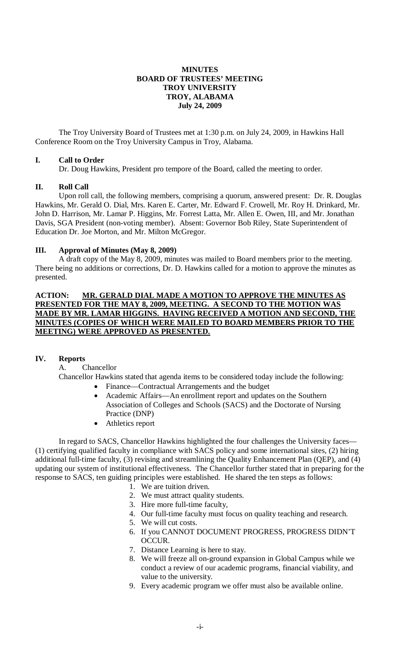# **MINUTES BOARD OF TRUSTEES' MEETING TROY UNIVERSITY TROY, ALABAMA July 24, 2009**

The Troy University Board of Trustees met at 1:30 p.m. on July 24, 2009, in Hawkins Hall Conference Room on the Troy University Campus in Troy, Alabama.

#### **I. Call to Order**

Dr. Doug Hawkins, President pro tempore of the Board, called the meeting to order.

#### **II. Roll Call**

Upon roll call, the following members, comprising a quorum, answered present: Dr. R. Douglas Hawkins, Mr. Gerald O. Dial, Mrs. Karen E. Carter, Mr. Edward F. Crowell, Mr. Roy H. Drinkard, Mr. John D. Harrison, Mr. Lamar P. Higgins, Mr. Forrest Latta, Mr. Allen E. Owen, III, and Mr. Jonathan Davis, SGA President (non-voting member). Absent: Governor Bob Riley, State Superintendent of Education Dr. Joe Morton, and Mr. Milton McGregor.

## **III. Approval of Minutes (May 8, 2009)**

A draft copy of the May 8, 2009, minutes was mailed to Board members prior to the meeting. There being no additions or corrections, Dr. D. Hawkins called for a motion to approve the minutes as presented.

# **ACTION: MR. GERALD DIAL MADE A MOTION TO APPROVE THE MINUTES AS PRESENTED FOR THE MAY 8, 2009, MEETING. A SECOND TO THE MOTION WAS MADE BY MR. LAMAR HIGGINS. HAVING RECEIVED A MOTION AND SECOND, THE MINUTES (COPIES OF WHICH WERE MAILED TO BOARD MEMBERS PRIOR TO THE MEETING) WERE APPROVED AS PRESENTED.**

# **IV. Reports**

A. Chancellor

Chancellor Hawkins stated that agenda items to be considered today include the following:

- Finance—Contractual Arrangements and the budget
- Academic Affairs—An enrollment report and updates on the Southern Association of Colleges and Schools (SACS) and the Doctorate of Nursing Practice (DNP)
- Athletics report

In regard to SACS, Chancellor Hawkins highlighted the four challenges the University faces— (1) certifying qualified faculty in compliance with SACS policy and some international sites, (2) hiring additional full-time faculty, (3) revising and streamlining the Quality Enhancement Plan (QEP), and (4) updating our system of institutional effectiveness. The Chancellor further stated that in preparing for the response to SACS, ten guiding principles were established. He shared the ten steps as follows:

- 1. We are tuition driven.
- 2. We must attract quality students.
- 3. Hire more full-time faculty,
- 4. Our full-time faculty must focus on quality teaching and research.
- 5. We will cut costs.
- 6. If you CANNOT DOCUMENT PROGRESS, PROGRESS DIDN'T OCCUR.
- 7. Distance Learning is here to stay.
- 8. We will freeze all on-ground expansion in Global Campus while we conduct a review of our academic programs, financial viability, and value to the university.
- 9. Every academic program we offer must also be available online.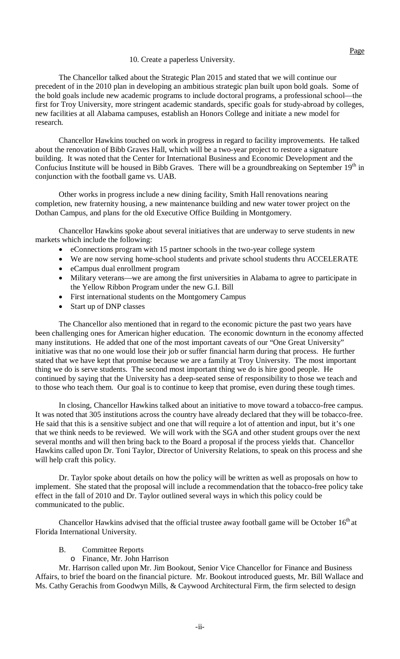#### 10. Create a paperless University.

The Chancellor talked about the Strategic Plan 2015 and stated that we will continue our precedent of in the 2010 plan in developing an ambitious strategic plan built upon bold goals. Some of the bold goals include new academic programs to include doctoral programs, a professional school—the first for Troy University, more stringent academic standards, specific goals for study-abroad by colleges, new facilities at all Alabama campuses, establish an Honors College and initiate a new model for research.

Chancellor Hawkins touched on work in progress in regard to facility improvements. He talked about the renovation of Bibb Graves Hall, which will be a two-year project to restore a signature building. It was noted that the Center for International Business and Economic Development and the Confucius Institute will be housed in Bibb Graves. There will be a groundbreaking on September 19<sup>th</sup> in conjunction with the football game vs. UAB.

Other works in progress include a new dining facility, Smith Hall renovations nearing completion, new fraternity housing, a new maintenance building and new water tower project on the Dothan Campus, and plans for the old Executive Office Building in Montgomery.

Chancellor Hawkins spoke about several initiatives that are underway to serve students in new markets which include the following:

- eConnections program with 15 partner schools in the two-year college system
- We are now serving home-school students and private school students thru ACCELERATE
- eCampus dual enrollment program
- Military veterans—we are among the first universities in Alabama to agree to participate in the Yellow Ribbon Program under the new G.I. Bill
- First international students on the Montgomery Campus
- Start up of DNP classes

The Chancellor also mentioned that in regard to the economic picture the past two years have been challenging ones for American higher education. The economic downturn in the economy affected many institutions. He added that one of the most important caveats of our "One Great University" initiative was that no one would lose their job or suffer financial harm during that process. He further stated that we have kept that promise because we are a family at Troy University. The most important thing we do is serve students. The second most important thing we do is hire good people. He continued by saying that the University has a deep-seated sense of responsibility to those we teach and to those who teach them. Our goal is to continue to keep that promise, even during these tough times.

In closing, Chancellor Hawkins talked about an initiative to move toward a tobacco-free campus. It was noted that 305 institutions across the country have already declared that they will be tobacco-free. He said that this is a sensitive subject and one that will require a lot of attention and input, but it's one that we think needs to be reviewed. We will work with the SGA and other student groups over the next several months and will then bring back to the Board a proposal if the process yields that. Chancellor Hawkins called upon Dr. Toni Taylor, Director of University Relations, to speak on this process and she will help craft this policy.

Dr. Taylor spoke about details on how the policy will be written as well as proposals on how to implement. She stated that the proposal will include a recommendation that the tobacco-free policy take effect in the fall of 2010 and Dr. Taylor outlined several ways in which this policy could be communicated to the public.

Chancellor Hawkins advised that the official trustee away football game will be October  $16<sup>th</sup>$  at Florida International University.

- B. Committee Reports
	- o Finance, Mr. John Harrison

Mr. Harrison called upon Mr. Jim Bookout, Senior Vice Chancellor for Finance and Business Affairs, to brief the board on the financial picture. Mr. Bookout introduced guests, Mr. Bill Wallace and Ms. Cathy Gerachis from Goodwyn Mills, & Caywood Architectural Firm, the firm selected to design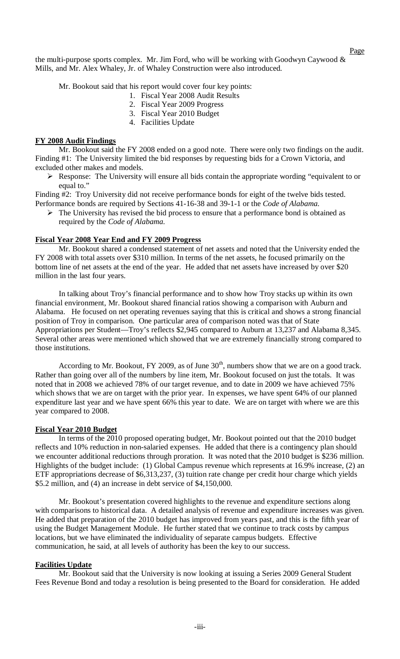the multi-purpose sports complex. Mr. Jim Ford, who will be working with Goodwyn Caywood  $\&$ Mills, and Mr. Alex Whaley, Jr. of Whaley Construction were also introduced.

Mr. Bookout said that his report would cover four key points:

- 1. Fiscal Year 2008 Audit Results
- 2. Fiscal Year 2009 Progress
- 3. Fiscal Year 2010 Budget
- 4. Facilities Update

#### **FY 2008 Audit Findings**

Mr. Bookout said the FY 2008 ended on a good note. There were only two findings on the audit. Finding #1: The University limited the bid responses by requesting bids for a Crown Victoria, and excluded other makes and models.

 $\triangleright$  Response: The University will ensure all bids contain the appropriate wording "equivalent to or equal to."

Finding #2: Troy University did not receive performance bonds for eight of the twelve bids tested. Performance bonds are required by Sections 41-16-38 and 39-1-1 or the *Code of Alabama.*

 $\triangleright$  The University has revised the bid process to ensure that a performance bond is obtained as required by the *Code of Alabama.*

# **Fiscal Year 2008 Year End and FY 2009 Progress**

Mr. Bookout shared a condensed statement of net assets and noted that the University ended the FY 2008 with total assets over \$310 million. In terms of the net assets, he focused primarily on the bottom line of net assets at the end of the year. He added that net assets have increased by over \$20 million in the last four years.

In talking about Troy's financial performance and to show how Troy stacks up within its own financial environment, Mr. Bookout shared financial ratios showing a comparison with Auburn and Alabama. He focused on net operating revenues saying that this is critical and shows a strong financial position of Troy in comparison. One particular area of comparison noted was that of State Appropriations per Student—Troy's reflects \$2,945 compared to Auburn at 13,237 and Alabama 8,345. Several other areas were mentioned which showed that we are extremely financially strong compared to those institutions.

According to Mr. Bookout, FY 2009, as of June  $30<sup>th</sup>$ , numbers show that we are on a good track. Rather than going over all of the numbers by line item, Mr. Bookout focused on just the totals. It was noted that in 2008 we achieved 78% of our target revenue, and to date in 2009 we have achieved 75% which shows that we are on target with the prior year. In expenses, we have spent 64% of our planned expenditure last year and we have spent 66% this year to date. We are on target with where we are this year compared to 2008.

#### **Fiscal Year 2010 Budget**

In terms of the 2010 proposed operating budget, Mr. Bookout pointed out that the 2010 budget reflects and 10% reduction in non-salaried expenses. He added that there is a contingency plan should we encounter additional reductions through proration. It was noted that the 2010 budget is \$236 million. Highlights of the budget include: (1) Global Campus revenue which represents at 16.9% increase, (2) an ETF appropriations decrease of \$6,313,237, (3) tuition rate change per credit hour charge which yields \$5.2 million, and (4) an increase in debt service of \$4,150,000.

Mr. Bookout's presentation covered highlights to the revenue and expenditure sections along with comparisons to historical data. A detailed analysis of revenue and expenditure increases was given. He added that preparation of the 2010 budget has improved from years past, and this is the fifth year of using the Budget Management Module. He further stated that we continue to track costs by campus locations, but we have eliminated the individuality of separate campus budgets. Effective communication, he said, at all levels of authority has been the key to our success.

#### **Facilities Update**

Mr. Bookout said that the University is now looking at issuing a Series 2009 General Student Fees Revenue Bond and today a resolution is being presented to the Board for consideration. He added

#### Page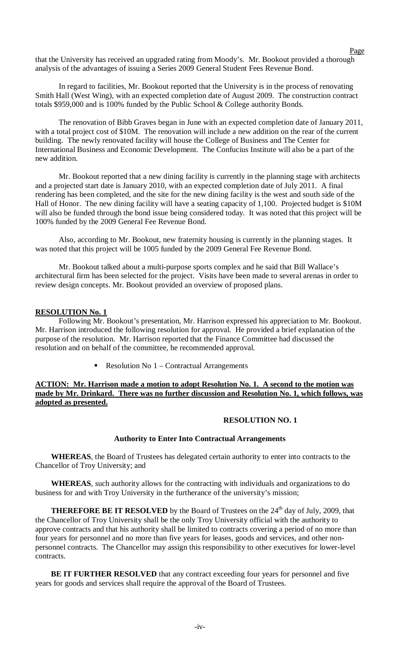Page

that the University has received an upgraded rating from Moody's. Mr. Bookout provided a thorough analysis of the advantages of issuing a Series 2009 General Student Fees Revenue Bond.

In regard to facilities, Mr. Bookout reported that the University is in the process of renovating Smith Hall (West Wing), with an expected completion date of August 2009. The construction contract totals \$959,000 and is 100% funded by the Public School & College authority Bonds.

The renovation of Bibb Graves began in June with an expected completion date of January 2011, with a total project cost of \$10M. The renovation will include a new addition on the rear of the current building. The newly renovated facility will house the College of Business and The Center for International Business and Economic Development. The Confucius Institute will also be a part of the new addition.

Mr. Bookout reported that a new dining facility is currently in the planning stage with architects and a projected start date is January 2010, with an expected completion date of July 2011. A final rendering has been completed, and the site for the new dining facility is the west and south side of the Hall of Honor. The new dining facility will have a seating capacity of 1,100. Projected budget is \$10M will also be funded through the bond issue being considered today. It was noted that this project will be 100% funded by the 2009 General Fee Revenue Bond.

Also, according to Mr. Bookout, new fraternity housing is currently in the planning stages. It was noted that this project will be 1005 funded by the 2009 General Fee Revenue Bond.

Mr. Bookout talked about a multi-purpose sports complex and he said that Bill Wallace's architectural firm has been selected for the project. Visits have been made to several arenas in order to review design concepts. Mr. Bookout provided an overview of proposed plans.

# **RESOLUTION No. 1**

Following Mr. Bookout's presentation, Mr. Harrison expressed his appreciation to Mr. Bookout. Mr. Harrison introduced the following resolution for approval. He provided a brief explanation of the purpose of the resolution. Mr. Harrison reported that the Finance Committee had discussed the resolution and on behalf of the committee, he recommended approval.

Resolution No 1 – Contractual Arrangements

# **ACTION: Mr. Harrison made a motion to adopt Resolution No. 1. A second to the motion was made by Mr. Drinkard. There was no further discussion and Resolution No. 1, which follows, was adopted as presented.**

#### **RESOLUTION NO. 1**

#### **Authority to Enter Into Contractual Arrangements**

 **WHEREAS**, the Board of Trustees has delegated certain authority to enter into contracts to the Chancellor of Troy University; and

 **WHEREAS**, such authority allows for the contracting with individuals and organizations to do business for and with Troy University in the furtherance of the university's mission;

**THEREFORE BE IT RESOLVED** by the Board of Trustees on the 24<sup>th</sup> day of July, 2009, that the Chancellor of Troy University shall be the only Troy University official with the authority to approve contracts and that his authority shall be limited to contracts covering a period of no more than four years for personnel and no more than five years for leases, goods and services, and other nonpersonnel contracts. The Chancellor may assign this responsibility to other executives for lower-level contracts.

 **BE IT FURTHER RESOLVED** that any contract exceeding four years for personnel and five years for goods and services shall require the approval of the Board of Trustees.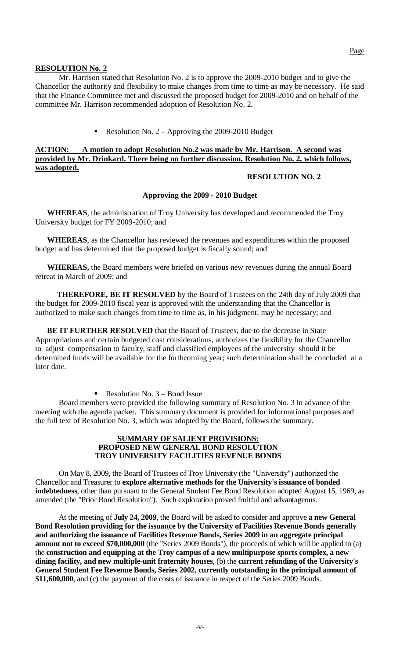# **RESOLUTION No. 2**

Mr. Harrison stated that Resolution No. 2 is to approve the 2009-2010 budget and to give the Chancellor the authority and flexibility to make changes from time to time as may be necessary. He said that the Finance Committee met and discussed the proposed budget for 2009-2010 and on behalf of the committee Mr. Harrison recommended adoption of Resolution No. 2.

Resolution No. 2 – Approving the 2009-2010 Budget

# **ACTION: A motion to adopt Resolution No.2 was made by Mr. Harrison. A second was provided by Mr. Drinkard. There being no further discussion, Resolution No. 2, which follows, was adopted.**

# **RESOLUTION NO. 2**

# **Approving the 2009 - 2010 Budget**

 **WHEREAS**, the administration of Troy University has developed and recommended the Troy University budget for FY 2009-2010; and

 **WHEREAS**, as the Chancellor has reviewed the revenues and expenditures within the proposed budget and has determined that the proposed budget is fiscally sound; and

 **WHEREAS,** the Board members were briefed on various new revenues during the annual Board retreat in March of 2009; and

 **THEREFORE, BE IT RESOLVED** by the Board of Trustees on the 24th day of July 2009 that the budget for 2009-2010 fiscal year is approved with the understanding that the Chancellor is authorized to make such changes from time to time as, in his judgment, may be necessary; and

 **BE IT FURTHER RESOLVED** that the Board of Trustees, due to the decrease in State Appropriations and certain budgeted cost considerations, authorizes the flexibility for the Chancellor to adjust compensation to faculty, staff and classified employees of the university should it be determined funds will be available for the forthcoming year; such determination shall be concluded at a later date.

Resolution No.  $3 - Bond Issue$ 

Board members were provided the following summary of Resolution No. 3 in advance of the meeting with the agenda packet. This summary document is provided for informational purposes and the full text of Resolution No. 3, which was adopted by the Board, follows the summary.

## **SUMMARY OF SALIENT PROVISIONS: PROPOSED NEW GENERAL BOND RESOLUTION TROY UNIVERSITY FACILITIES REVENUE BONDS**

On May 8, 2009, the Board of Trustees of Troy University (the "University") authorized the Chancellor and Treasurer to **explore alternative methods for the University's issuance of bonded indebtedness**, other than pursuant to the General Student Fee Bond Resolution adopted August 15, 1969, as amended (the "Prior Bond Resolution"). Such exploration proved fruitful and advantageous.

At the meeting of **July 24, 2009**, the Board will be asked to consider and approve **a new General Bond Resolution providing for the issuance by the University of Facilities Revenue Bonds generally and authorizing the issuance of Facilities Revenue Bonds, Series 2009 in an aggregate principal amount not to exceed \$70,000,000** (the "Series 2009 Bonds"), the proceeds of which will be applied to (a) the **construction and equipping at the Troy campus of a new multipurpose sports complex, a new dining facility, and new multiple-unit fraternity houses**, (b) the **current refunding of the University's General Student Fee Revenue Bonds, Series 2002, currently outstanding in the principal amount of \$11,600,000**, and (c) the payment of the costs of issuance in respect of the Series 2009 Bonds.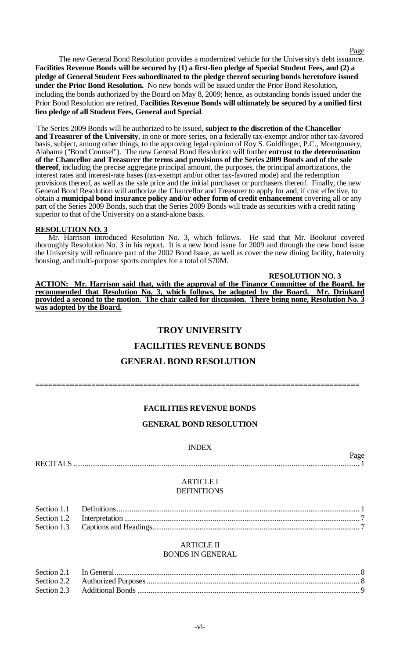The new General Bond Resolution provides a modernized vehicle for the University's debt issuance. **Facilities Revenue Bonds will be secured by (1) a first-lien pledge of Special Student Fees, and (2) a pledge of General Student Fees subordinated to the pledge thereof securing bonds heretofore issued under the Prior Bond Resolution.** No new bonds will be issued under the Prior Bond Resolution, including the bonds authorized by the Board on May 8, 2009; hence, as outstanding bonds issued under the Prior Bond Resolution are retired, **Facilities Revenue Bonds will ultimately be secured by a unified first lien pledge of all Student Fees, General and Special**.

The Series 2009 Bonds will be authorized to be issued, **subject to the discretion of the Chancellor and Treasurer of the University**, in one or more series, on a federally tax-exempt and/or other tax-favored basis, subject, among other things, to the approving legal opinion of Roy S. Goldfinger, P.C., Montgomery, Alabama ("Bond Counsel"). The new General Bond Resolution will further **entrust to the determination of the Chancellor and Treasurer the terms and provisions of the Series 2009 Bonds and of the sale thereof**, including the precise aggregate principal amount, the purposes, the principal amortizations, the interest rates and interest-rate bases (tax-exempt and/or other tax-favored mode) and the redemption provisions thereof, as well as the sale price and the initial purchaser or purchasers thereof. Finally, the new General Bond Resolution will authorize the Chancellor and Treasurer to apply for and, if cost effective, to obtain a **municipal bond insurance policy and/or other form of credit enhancement** covering all or any part of the Series 2009 Bonds, such that the Series 2009 Bonds will trade as securities with a credit rating superior to that of the University on a stand-alone basis.

**RESOLUTION NO. 3**<br>Mr. Harrison introduced Resolution No. 3, which follows. He said that Mr. Bookout covered thoroughly Resolution No. 3 in his report. It is a new bond issue for 2009 and through the new bond issue the University will refinance part of the 2002 Bond Issue, as well as cover the new dining facility, fraternity housing, and multi-purpose sports complex for a total of \$70M.

**RESOLUTION NO. 3 ACTION: Mr. Harrison said that, with the approval of the Finance Committee of the Board, he recommended that Resolution No. 3, which follows, be adopted by the Board. Mr. Drinkard provided a second to the motion. The chair called for discussion. There being none, Resolution No. 3 was adopted by the Board.**

# **TROY UNIVERSITY**

# **FACILITIES REVENUE BONDS**

# **GENERAL BOND RESOLUTION**

===========================================================================

#### **FACILITIES REVENUE BONDS**

## **GENERAL BOND RESOLUTION**

#### INDEX

| <b>RECIT.</b> |  |
|---------------|--|
|               |  |

#### ARTICLE I DEFINITIONS

# ARTICLE II

# BONDS IN GENERAL

Page

Page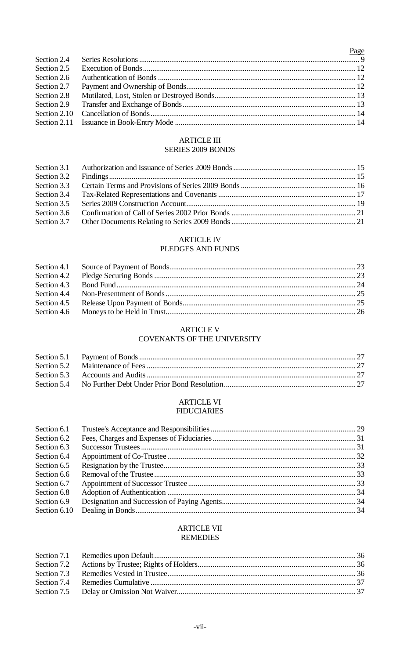|             | Page |
|-------------|------|
|             |      |
|             |      |
| Section 2.6 |      |
| Section 2.7 |      |
| Section 2.8 |      |
|             |      |
|             |      |
|             |      |

## **ARTICLE III** SERIES 2009 BONDS

# **ARTICLE IV** PLEDGES AND FUNDS

# **ARTICLE V**

# COVENANTS OF THE UNIVERSITY

# **ARTICLE VI FIDUCIARIES**

| Section 6.1  |  |
|--------------|--|
| Section 6.2  |  |
| Section 6.3  |  |
| Section 6.4  |  |
| Section 6.5  |  |
| Section 6.6  |  |
| Section 6.7  |  |
| Section 6.8  |  |
| Section 6.9  |  |
| Section 6.10 |  |
|              |  |

# ARTICLE VII **REMEDIES**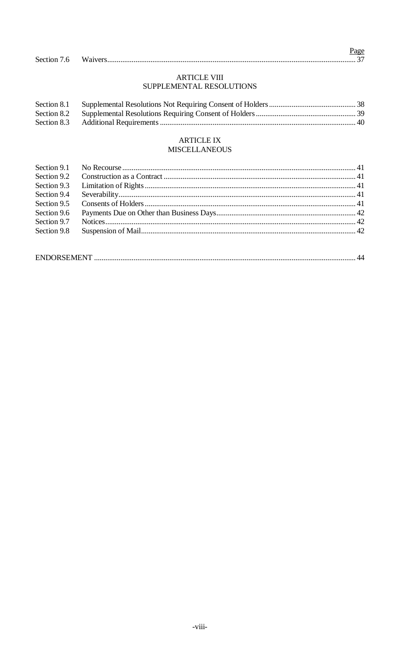| Section 7.6 | <b>Waiver</b> |  |
|-------------|---------------|--|

# **ARTICLE VIII** SUPPLEMENTAL RESOLUTIONS

# **ARTICLE IX MISCELLANEOUS**

| Section 9.3 |  |
|-------------|--|
| Section 9.4 |  |
|             |  |
| Section 9.6 |  |
| Section 9.7 |  |
| Section 9.8 |  |
|             |  |
|             |  |

|--|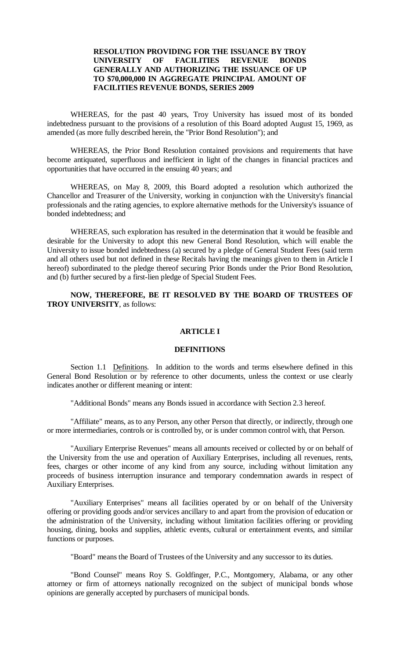# **RESOLUTION PROVIDING FOR THE ISSUANCE BY TROY UNIVERSITY OF FACILITIES REVENUE BONDS GENERALLY AND AUTHORIZING THE ISSUANCE OF UP TO \$70,000,000 IN AGGREGATE PRINCIPAL AMOUNT OF FACILITIES REVENUE BONDS, SERIES 2009**

WHEREAS, for the past 40 years, Troy University has issued most of its bonded indebtedness pursuant to the provisions of a resolution of this Board adopted August 15, 1969, as amended (as more fully described herein, the "Prior Bond Resolution"); and

WHEREAS, the Prior Bond Resolution contained provisions and requirements that have become antiquated, superfluous and inefficient in light of the changes in financial practices and opportunities that have occurred in the ensuing 40 years; and

WHEREAS, on May 8, 2009, this Board adopted a resolution which authorized the Chancellor and Treasurer of the University, working in conjunction with the University's financial professionals and the rating agencies, to explore alternative methods for the University's issuance of bonded indebtedness; and

WHEREAS, such exploration has resulted in the determination that it would be feasible and desirable for the University to adopt this new General Bond Resolution, which will enable the University to issue bonded indebtedness (a) secured by a pledge of General Student Fees (said term and all others used but not defined in these Recitals having the meanings given to them in Article I hereof) subordinated to the pledge thereof securing Prior Bonds under the Prior Bond Resolution, and (b) further secured by a first-lien pledge of Special Student Fees.

# **NOW, THEREFORE, BE IT RESOLVED BY THE BOARD OF TRUSTEES OF TROY UNIVERSITY**, as follows:

#### **ARTICLE I**

#### **DEFINITIONS**

Section 1.1 Definitions. In addition to the words and terms elsewhere defined in this General Bond Resolution or by reference to other documents, unless the context or use clearly indicates another or different meaning or intent:

"Additional Bonds" means any Bonds issued in accordance with Section 2.3 hereof.

"Affiliate" means, as to any Person, any other Person that directly, or indirectly, through one or more intermediaries, controls or is controlled by, or is under common control with, that Person.

"Auxiliary Enterprise Revenues" means all amounts received or collected by or on behalf of the University from the use and operation of Auxiliary Enterprises, including all revenues, rents, fees, charges or other income of any kind from any source, including without limitation any proceeds of business interruption insurance and temporary condemnation awards in respect of Auxiliary Enterprises.

"Auxiliary Enterprises" means all facilities operated by or on behalf of the University offering or providing goods and/or services ancillary to and apart from the provision of education or the administration of the University, including without limitation facilities offering or providing housing, dining, books and supplies, athletic events, cultural or entertainment events, and similar functions or purposes.

"Board" means the Board of Trustees of the University and any successor to its duties.

"Bond Counsel" means Roy S. Goldfinger, P.C., Montgomery, Alabama, or any other attorney or firm of attorneys nationally recognized on the subject of municipal bonds whose opinions are generally accepted by purchasers of municipal bonds.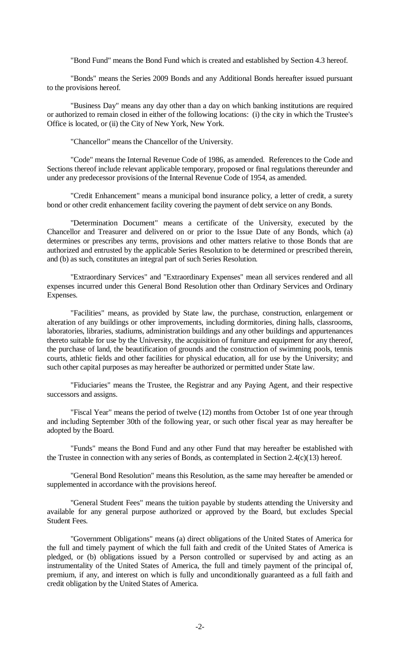"Bond Fund" means the Bond Fund which is created and established by Section 4.3 hereof.

"Bonds" means the Series 2009 Bonds and any Additional Bonds hereafter issued pursuant to the provisions hereof.

"Business Day" means any day other than a day on which banking institutions are required or authorized to remain closed in either of the following locations: (i) the city in which the Trustee's Office is located, or (ii) the City of New York, New York.

"Chancellor" means the Chancellor of the University.

"Code" means the Internal Revenue Code of 1986, as amended. References to the Code and Sections thereof include relevant applicable temporary, proposed or final regulations thereunder and under any predecessor provisions of the Internal Revenue Code of 1954, as amended.

"Credit Enhancement" means a municipal bond insurance policy, a letter of credit, a surety bond or other credit enhancement facility covering the payment of debt service on any Bonds.

"Determination Document" means a certificate of the University, executed by the Chancellor and Treasurer and delivered on or prior to the Issue Date of any Bonds, which (a) determines or prescribes any terms, provisions and other matters relative to those Bonds that are authorized and entrusted by the applicable Series Resolution to be determined or prescribed therein, and (b) as such, constitutes an integral part of such Series Resolution.

"Extraordinary Services" and "Extraordinary Expenses" mean all services rendered and all expenses incurred under this General Bond Resolution other than Ordinary Services and Ordinary Expenses.

"Facilities" means, as provided by State law, the purchase, construction, enlargement or alteration of any buildings or other improvements, including dormitories, dining halls, classrooms, laboratories, libraries, stadiums, administration buildings and any other buildings and appurtenances thereto suitable for use by the University, the acquisition of furniture and equipment for any thereof, the purchase of land, the beautification of grounds and the construction of swimming pools, tennis courts, athletic fields and other facilities for physical education, all for use by the University; and such other capital purposes as may hereafter be authorized or permitted under State law.

"Fiduciaries" means the Trustee, the Registrar and any Paying Agent, and their respective successors and assigns.

"Fiscal Year" means the period of twelve (12) months from October 1st of one year through and including September 30th of the following year, or such other fiscal year as may hereafter be adopted by the Board.

"Funds" means the Bond Fund and any other Fund that may hereafter be established with the Trustee in connection with any series of Bonds, as contemplated in Section 2.4(c)(13) hereof.

"General Bond Resolution" means this Resolution, as the same may hereafter be amended or supplemented in accordance with the provisions hereof.

"General Student Fees" means the tuition payable by students attending the University and available for any general purpose authorized or approved by the Board, but excludes Special Student Fees.

"Government Obligations" means (a) direct obligations of the United States of America for the full and timely payment of which the full faith and credit of the United States of America is pledged, or (b) obligations issued by a Person controlled or supervised by and acting as an instrumentality of the United States of America, the full and timely payment of the principal of, premium, if any, and interest on which is fully and unconditionally guaranteed as a full faith and credit obligation by the United States of America.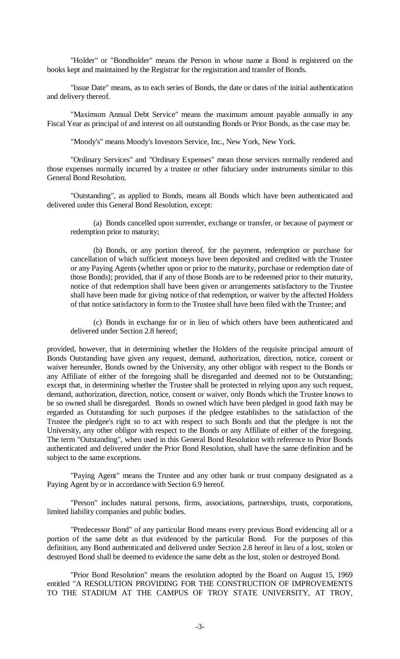"Holder" or "Bondholder" means the Person in whose name a Bond is registered on the books kept and maintained by the Registrar for the registration and transfer of Bonds.

"Issue Date" means, as to each series of Bonds, the date or dates of the initial authentication and delivery thereof.

"Maximum Annual Debt Service" means the maximum amount payable annually in any Fiscal Year as principal of and interest on all outstanding Bonds or Prior Bonds, as the case may be.

"Moody's" means Moody's Investors Service, Inc., New York, New York.

"Ordinary Services" and "Ordinary Expenses" mean those services normally rendered and those expenses normally incurred by a trustee or other fiduciary under instruments similar to this General Bond Resolution.

"Outstanding", as applied to Bonds, means all Bonds which have been authenticated and delivered under this General Bond Resolution, except:

(a) Bonds cancelled upon surrender, exchange or transfer, or because of payment or redemption prior to maturity;

(b) Bonds, or any portion thereof, for the payment, redemption or purchase for cancellation of which sufficient moneys have been deposited and credited with the Trustee or any Paying Agents (whether upon or prior to the maturity, purchase or redemption date of those Bonds); provided, that if any of those Bonds are to be redeemed prior to their maturity, notice of that redemption shall have been given or arrangements satisfactory to the Trustee shall have been made for giving notice of that redemption, or waiver by the affected Holders of that notice satisfactory in form to the Trustee shall have been filed with the Trustee; and

(c) Bonds in exchange for or in lieu of which others have been authenticated and delivered under Section 2.8 hereof;

provided, however, that in determining whether the Holders of the requisite principal amount of Bonds Outstanding have given any request, demand, authorization, direction, notice, consent or waiver hereunder, Bonds owned by the University, any other obligor with respect to the Bonds or any Affiliate of either of the foregoing shall be disregarded and deemed not to be Outstanding; except that, in determining whether the Trustee shall be protected in relying upon any such request, demand, authorization, direction, notice, consent or waiver, only Bonds which the Trustee knows to be so owned shall be disregarded. Bonds so owned which have been pledged in good faith may be regarded as Outstanding for such purposes if the pledgee establishes to the satisfaction of the Trustee the pledgee's right so to act with respect to such Bonds and that the pledgee is not the University, any other obligor with respect to the Bonds or any Affiliate of either of the foregoing. The term "Outstanding", when used in this General Bond Resolution with reference to Prior Bonds authenticated and delivered under the Prior Bond Resolution, shall have the same definition and be subject to the same exceptions.

"Paying Agent" means the Trustee and any other bank or trust company designated as a Paying Agent by or in accordance with Section 6.9 hereof.

"Person" includes natural persons, firms, associations, partnerships, trusts, corporations, limited liability companies and public bodies.

"Predecessor Bond" of any particular Bond means every previous Bond evidencing all or a portion of the same debt as that evidenced by the particular Bond. For the purposes of this definition, any Bond authenticated and delivered under Section 2.8 hereof in lieu of a lost, stolen or destroyed Bond shall be deemed to evidence the same debt as the lost, stolen or destroyed Bond.

"Prior Bond Resolution" means the resolution adopted by the Board on August 15, 1969 entitled "A RESOLUTION PROVIDING FOR THE CONSTRUCTION OF IMPROVEMENTS TO THE STADIUM AT THE CAMPUS OF TROY STATE UNIVERSITY, AT TROY,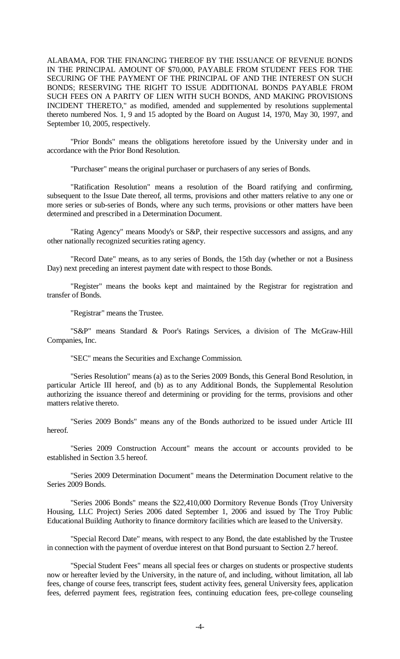ALABAMA, FOR THE FINANCING THEREOF BY THE ISSUANCE OF REVENUE BONDS IN THE PRINCIPAL AMOUNT OF \$70,000, PAYABLE FROM STUDENT FEES FOR THE SECURING OF THE PAYMENT OF THE PRINCIPAL OF AND THE INTEREST ON SUCH BONDS; RESERVING THE RIGHT TO ISSUE ADDITIONAL BONDS PAYABLE FROM SUCH FEES ON A PARITY OF LIEN WITH SUCH BONDS, AND MAKING PROVISIONS INCIDENT THERETO," as modified, amended and supplemented by resolutions supplemental thereto numbered Nos. 1, 9 and 15 adopted by the Board on August 14, 1970, May 30, 1997, and September 10, 2005, respectively.

"Prior Bonds" means the obligations heretofore issued by the University under and in accordance with the Prior Bond Resolution.

"Purchaser" means the original purchaser or purchasers of any series of Bonds.

"Ratification Resolution" means a resolution of the Board ratifying and confirming, subsequent to the Issue Date thereof, all terms, provisions and other matters relative to any one or more series or sub-series of Bonds, where any such terms, provisions or other matters have been determined and prescribed in a Determination Document.

"Rating Agency" means Moody's or S&P, their respective successors and assigns, and any other nationally recognized securities rating agency.

"Record Date" means, as to any series of Bonds, the 15th day (whether or not a Business Day) next preceding an interest payment date with respect to those Bonds.

"Register" means the books kept and maintained by the Registrar for registration and transfer of Bonds.

"Registrar" means the Trustee.

"S&P" means Standard & Poor's Ratings Services, a division of The McGraw-Hill Companies, Inc.

"SEC" means the Securities and Exchange Commission.

"Series Resolution" means (a) as to the Series 2009 Bonds, this General Bond Resolution, in particular Article III hereof, and (b) as to any Additional Bonds, the Supplemental Resolution authorizing the issuance thereof and determining or providing for the terms, provisions and other matters relative thereto.

"Series 2009 Bonds" means any of the Bonds authorized to be issued under Article III hereof.

"Series 2009 Construction Account" means the account or accounts provided to be established in Section 3.5 hereof.

"Series 2009 Determination Document" means the Determination Document relative to the Series 2009 Bonds.

"Series 2006 Bonds" means the \$22,410,000 Dormitory Revenue Bonds (Troy University Housing, LLC Project) Series 2006 dated September 1, 2006 and issued by The Troy Public Educational Building Authority to finance dormitory facilities which are leased to the University.

"Special Record Date" means, with respect to any Bond, the date established by the Trustee in connection with the payment of overdue interest on that Bond pursuant to Section 2.7 hereof.

"Special Student Fees" means all special fees or charges on students or prospective students now or hereafter levied by the University, in the nature of, and including, without limitation, all lab fees, change of course fees, transcript fees, student activity fees, general University fees, application fees, deferred payment fees, registration fees, continuing education fees, pre-college counseling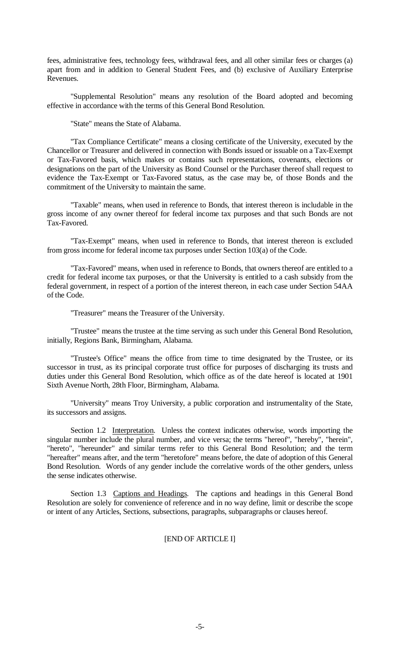fees, administrative fees, technology fees, withdrawal fees, and all other similar fees or charges (a) apart from and in addition to General Student Fees, and (b) exclusive of Auxiliary Enterprise Revenues.

"Supplemental Resolution" means any resolution of the Board adopted and becoming effective in accordance with the terms of this General Bond Resolution.

"State" means the State of Alabama.

"Tax Compliance Certificate" means a closing certificate of the University, executed by the Chancellor or Treasurer and delivered in connection with Bonds issued or issuable on a Tax-Exempt or Tax-Favored basis, which makes or contains such representations, covenants, elections or designations on the part of the University as Bond Counsel or the Purchaser thereof shall request to evidence the Tax-Exempt or Tax-Favored status, as the case may be, of those Bonds and the commitment of the University to maintain the same.

"Taxable" means, when used in reference to Bonds, that interest thereon is includable in the gross income of any owner thereof for federal income tax purposes and that such Bonds are not Tax-Favored.

"Tax-Exempt" means, when used in reference to Bonds, that interest thereon is excluded from gross income for federal income tax purposes under Section 103(a) of the Code.

"Tax-Favored" means, when used in reference to Bonds, that owners thereof are entitled to a credit for federal income tax purposes, or that the University is entitled to a cash subsidy from the federal government, in respect of a portion of the interest thereon, in each case under Section 54AA of the Code.

"Treasurer" means the Treasurer of the University.

"Trustee" means the trustee at the time serving as such under this General Bond Resolution, initially, Regions Bank, Birmingham, Alabama.

"Trustee's Office" means the office from time to time designated by the Trustee, or its successor in trust, as its principal corporate trust office for purposes of discharging its trusts and duties under this General Bond Resolution, which office as of the date hereof is located at 1901 Sixth Avenue North, 28th Floor, Birmingham, Alabama.

"University" means Troy University, a public corporation and instrumentality of the State, its successors and assigns.

Section 1.2 Interpretation. Unless the context indicates otherwise, words importing the singular number include the plural number, and vice versa; the terms "hereof", "hereby", "herein", "hereto", "hereunder" and similar terms refer to this General Bond Resolution; and the term "hereafter" means after, and the term "heretofore" means before, the date of adoption of this General Bond Resolution. Words of any gender include the correlative words of the other genders, unless the sense indicates otherwise.

Section 1.3 Captions and Headings. The captions and headings in this General Bond Resolution are solely for convenience of reference and in no way define, limit or describe the scope or intent of any Articles, Sections, subsections, paragraphs, subparagraphs or clauses hereof.

# [END OF ARTICLE I]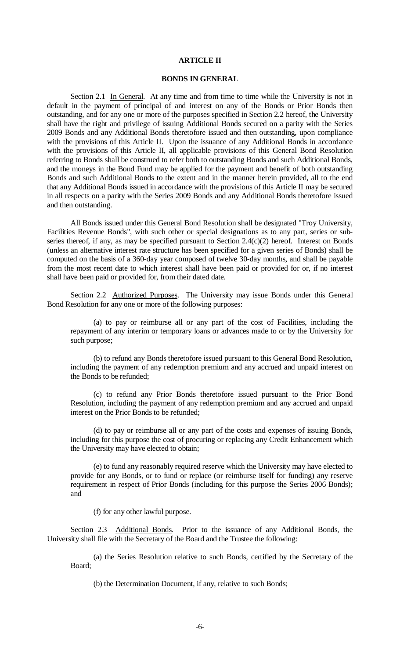## **ARTICLE II**

#### **BONDS IN GENERAL**

Section 2.1 In General. At any time and from time to time while the University is not in default in the payment of principal of and interest on any of the Bonds or Prior Bonds then outstanding, and for any one or more of the purposes specified in Section 2.2 hereof, the University shall have the right and privilege of issuing Additional Bonds secured on a parity with the Series 2009 Bonds and any Additional Bonds theretofore issued and then outstanding, upon compliance with the provisions of this Article II. Upon the issuance of any Additional Bonds in accordance with the provisions of this Article II, all applicable provisions of this General Bond Resolution referring to Bonds shall be construed to refer both to outstanding Bonds and such Additional Bonds, and the moneys in the Bond Fund may be applied for the payment and benefit of both outstanding Bonds and such Additional Bonds to the extent and in the manner herein provided, all to the end that any Additional Bonds issued in accordance with the provisions of this Article II may be secured in all respects on a parity with the Series 2009 Bonds and any Additional Bonds theretofore issued and then outstanding.

All Bonds issued under this General Bond Resolution shall be designated "Troy University, Facilities Revenue Bonds", with such other or special designations as to any part, series or subseries thereof, if any, as may be specified pursuant to Section 2.4(c)(2) hereof. Interest on Bonds (unless an alternative interest rate structure has been specified for a given series of Bonds) shall be computed on the basis of a 360-day year composed of twelve 30-day months, and shall be payable from the most recent date to which interest shall have been paid or provided for or, if no interest shall have been paid or provided for, from their dated date.

Section 2.2 Authorized Purposes. The University may issue Bonds under this General Bond Resolution for any one or more of the following purposes:

(a) to pay or reimburse all or any part of the cost of Facilities, including the repayment of any interim or temporary loans or advances made to or by the University for such purpose;

(b) to refund any Bonds theretofore issued pursuant to this General Bond Resolution, including the payment of any redemption premium and any accrued and unpaid interest on the Bonds to be refunded;

(c) to refund any Prior Bonds theretofore issued pursuant to the Prior Bond Resolution, including the payment of any redemption premium and any accrued and unpaid interest on the Prior Bonds to be refunded;

(d) to pay or reimburse all or any part of the costs and expenses of issuing Bonds, including for this purpose the cost of procuring or replacing any Credit Enhancement which the University may have elected to obtain;

(e) to fund any reasonably required reserve which the University may have elected to provide for any Bonds, or to fund or replace (or reimburse itself for funding) any reserve requirement in respect of Prior Bonds (including for this purpose the Series 2006 Bonds); and

(f) for any other lawful purpose.

Section 2.3 Additional Bonds. Prior to the issuance of any Additional Bonds, the University shall file with the Secretary of the Board and the Trustee the following:

(a) the Series Resolution relative to such Bonds, certified by the Secretary of the Board;

(b) the Determination Document, if any, relative to such Bonds;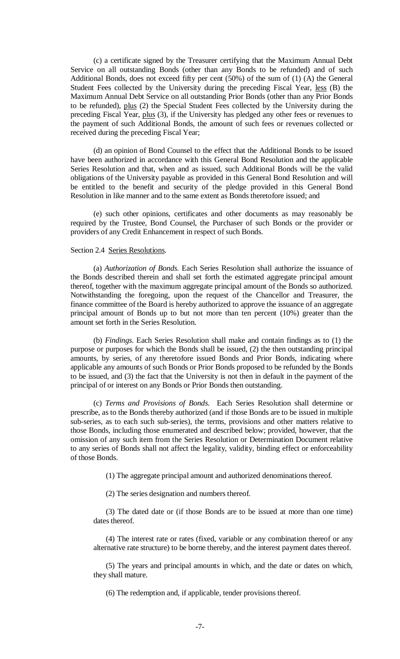(c) a certificate signed by the Treasurer certifying that the Maximum Annual Debt Service on all outstanding Bonds (other than any Bonds to be refunded) and of such Additional Bonds, does not exceed fifty per cent (50%) of the sum of (1) (A) the General Student Fees collected by the University during the preceding Fiscal Year, less (B) the Maximum Annual Debt Service on all outstanding Prior Bonds (other than any Prior Bonds to be refunded), plus (2) the Special Student Fees collected by the University during the preceding Fiscal Year, plus (3), if the University has pledged any other fees or revenues to the payment of such Additional Bonds, the amount of such fees or revenues collected or received during the preceding Fiscal Year;

(d) an opinion of Bond Counsel to the effect that the Additional Bonds to be issued have been authorized in accordance with this General Bond Resolution and the applicable Series Resolution and that, when and as issued, such Additional Bonds will be the valid obligations of the University payable as provided in this General Bond Resolution and will be entitled to the benefit and security of the pledge provided in this General Bond Resolution in like manner and to the same extent as Bonds theretofore issued; and

(e) such other opinions, certificates and other documents as may reasonably be required by the Trustee, Bond Counsel, the Purchaser of such Bonds or the provider or providers of any Credit Enhancement in respect of such Bonds.

#### Section 2.4 Series Resolutions.

(a) *Authorization of Bonds*. Each Series Resolution shall authorize the issuance of the Bonds described therein and shall set forth the estimated aggregate principal amount thereof, together with the maximum aggregate principal amount of the Bonds so authorized. Notwithstanding the foregoing, upon the request of the Chancellor and Treasurer, the finance committee of the Board is hereby authorized to approve the issuance of an aggregate principal amount of Bonds up to but not more than ten percent (10%) greater than the amount set forth in the Series Resolution.

(b) *Findings*. Each Series Resolution shall make and contain findings as to (1) the purpose or purposes for which the Bonds shall be issued, (2) the then outstanding principal amounts, by series, of any theretofore issued Bonds and Prior Bonds, indicating where applicable any amounts of such Bonds or Prior Bonds proposed to be refunded by the Bonds to be issued, and (3) the fact that the University is not then in default in the payment of the principal of or interest on any Bonds or Prior Bonds then outstanding.

(c) *Terms and Provisions of Bonds*. Each Series Resolution shall determine or prescribe, as to the Bonds thereby authorized (and if those Bonds are to be issued in multiple sub-series, as to each such sub-series), the terms, provisions and other matters relative to those Bonds, including those enumerated and described below; provided, however, that the omission of any such item from the Series Resolution or Determination Document relative to any series of Bonds shall not affect the legality, validity, binding effect or enforceability of those Bonds.

(1) The aggregate principal amount and authorized denominations thereof.

(2) The series designation and numbers thereof.

(3) The dated date or (if those Bonds are to be issued at more than one time) dates thereof.

(4) The interest rate or rates (fixed, variable or any combination thereof or any alternative rate structure) to be borne thereby, and the interest payment dates thereof.

(5) The years and principal amounts in which, and the date or dates on which, they shall mature.

(6) The redemption and, if applicable, tender provisions thereof.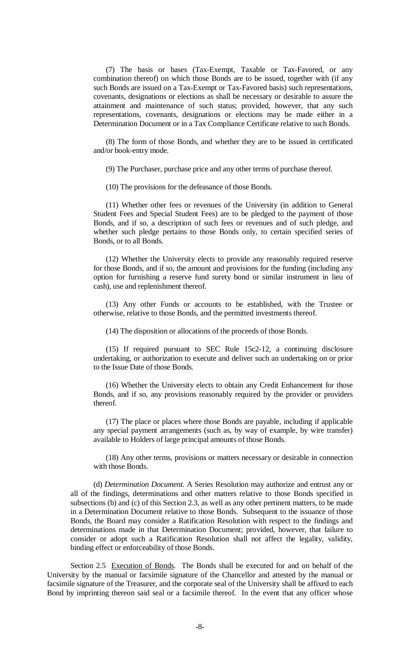(7) The basis or bases (Tax-Exempt, Taxable or Tax-Favored, or any combination thereof) on which those Bonds are to be issued, together with (if any such Bonds are issued on a Tax-Exempt or Tax-Favored basis) such representations, covenants, designations or elections as shall be necessary or desirable to assure the attainment and maintenance of such status; provided, however, that any such representations, covenants, designations or elections may be made either in a Determination Document or in a Tax Compliance Certificate relative to such Bonds.

(8) The form of those Bonds, and whether they are to be issued in certificated and/or book-entry mode.

(9) The Purchaser, purchase price and any other terms of purchase thereof.

(10) The provisions for the defeasance of those Bonds.

(11) Whether other fees or revenues of the University (in addition to General Student Fees and Special Student Fees) are to be pledged to the payment of those Bonds, and if so, a description of such fees or revenues and of such pledge, and whether such pledge pertains to those Bonds only, to certain specified series of Bonds, or to all Bonds.

(12) Whether the University elects to provide any reasonably required reserve for those Bonds, and if so, the amount and provisions for the funding (including any option for furnishing a reserve fund surety bond or similar instrument in lieu of cash), use and replenishment thereof.

(13) Any other Funds or accounts to be established, with the Trustee or otherwise, relative to those Bonds, and the permitted investments thereof.

(14) The disposition or allocations of the proceeds of those Bonds.

(15) If required pursuant to SEC Rule 15c2-12, a continuing disclosure undertaking, or authorization to execute and deliver such an undertaking on or prior to the Issue Date of those Bonds.

(16) Whether the University elects to obtain any Credit Enhancement for those Bonds, and if so, any provisions reasonably required by the provider or providers thereof.

(17) The place or places where those Bonds are payable, including if applicable any special payment arrangements (such as, by way of example, by wire transfer) available to Holders of large principal amounts of those Bonds.

(18) Any other terms, provisions or matters necessary or desirable in connection with those Bonds.

(d) *Determination Document*. A Series Resolution may authorize and entrust any or all of the findings, determinations and other matters relative to those Bonds specified in subsections (b) and (c) of this Section 2.3, as well as any other pertinent matters, to be made in a Determination Document relative to those Bonds. Subsequent to the issuance of those Bonds, the Board may consider a Ratification Resolution with respect to the findings and determinations made in that Determination Document; provided, however, that failure to consider or adopt such a Ratification Resolution shall not affect the legality, validity, binding effect or enforceability of those Bonds.

Section 2.5 Execution of Bonds. The Bonds shall be executed for and on behalf of the University by the manual or facsimile signature of the Chancellor and attested by the manual or facsimile signature of the Treasurer, and the corporate seal of the University shall be affixed to each Bond by imprinting thereon said seal or a facsimile thereof. In the event that any officer whose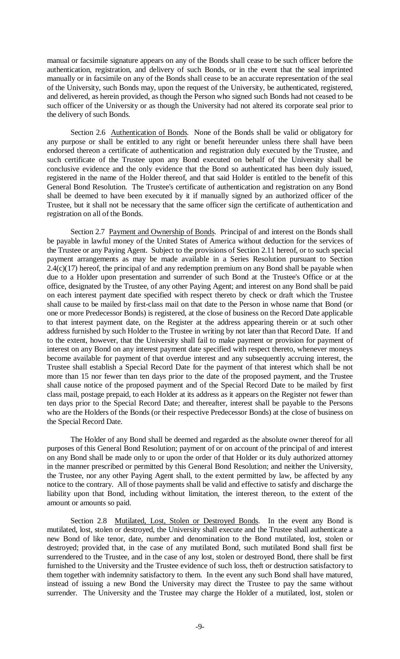manual or facsimile signature appears on any of the Bonds shall cease to be such officer before the authentication, registration, and delivery of such Bonds, or in the event that the seal imprinted manually or in facsimile on any of the Bonds shall cease to be an accurate representation of the seal of the University, such Bonds may, upon the request of the University, be authenticated, registered, and delivered, as herein provided, as though the Person who signed such Bonds had not ceased to be such officer of the University or as though the University had not altered its corporate seal prior to the delivery of such Bonds.

Section 2.6 Authentication of Bonds. None of the Bonds shall be valid or obligatory for any purpose or shall be entitled to any right or benefit hereunder unless there shall have been endorsed thereon a certificate of authentication and registration duly executed by the Trustee, and such certificate of the Trustee upon any Bond executed on behalf of the University shall be conclusive evidence and the only evidence that the Bond so authenticated has been duly issued, registered in the name of the Holder thereof, and that said Holder is entitled to the benefit of this General Bond Resolution. The Trustee's certificate of authentication and registration on any Bond shall be deemed to have been executed by it if manually signed by an authorized officer of the Trustee, but it shall not be necessary that the same officer sign the certificate of authentication and registration on all of the Bonds.

Section 2.7 Payment and Ownership of Bonds. Principal of and interest on the Bonds shall be payable in lawful money of the United States of America without deduction for the services of the Trustee or any Paying Agent. Subject to the provisions of Section 2.11 hereof, or to such special payment arrangements as may be made available in a Series Resolution pursuant to Section 2.4(c)(17) hereof, the principal of and any redemption premium on any Bond shall be payable when due to a Holder upon presentation and surrender of such Bond at the Trustee's Office or at the office, designated by the Trustee, of any other Paying Agent; and interest on any Bond shall be paid on each interest payment date specified with respect thereto by check or draft which the Trustee shall cause to be mailed by first-class mail on that date to the Person in whose name that Bond (or one or more Predecessor Bonds) is registered, at the close of business on the Record Date applicable to that interest payment date, on the Register at the address appearing therein or at such other address furnished by such Holder to the Trustee in writing by not later than that Record Date. If and to the extent, however, that the University shall fail to make payment or provision for payment of interest on any Bond on any interest payment date specified with respect thereto, whenever moneys become available for payment of that overdue interest and any subsequently accruing interest, the Trustee shall establish a Special Record Date for the payment of that interest which shall be not more than 15 nor fewer than ten days prior to the date of the proposed payment, and the Trustee shall cause notice of the proposed payment and of the Special Record Date to be mailed by first class mail, postage prepaid, to each Holder at its address as it appears on the Register not fewer than ten days prior to the Special Record Date; and thereafter, interest shall be payable to the Persons who are the Holders of the Bonds (or their respective Predecessor Bonds) at the close of business on the Special Record Date.

The Holder of any Bond shall be deemed and regarded as the absolute owner thereof for all purposes of this General Bond Resolution; payment of or on account of the principal of and interest on any Bond shall be made only to or upon the order of that Holder or its duly authorized attorney in the manner prescribed or permitted by this General Bond Resolution; and neither the University, the Trustee, nor any other Paying Agent shall, to the extent permitted by law, be affected by any notice to the contrary. All of those payments shall be valid and effective to satisfy and discharge the liability upon that Bond, including without limitation, the interest thereon, to the extent of the amount or amounts so paid.

Section 2.8 Mutilated, Lost, Stolen or Destroyed Bonds. In the event any Bond is mutilated, lost, stolen or destroyed, the University shall execute and the Trustee shall authenticate a new Bond of like tenor, date, number and denomination to the Bond mutilated, lost, stolen or destroyed; provided that, in the case of any mutilated Bond, such mutilated Bond shall first be surrendered to the Trustee, and in the case of any lost, stolen or destroyed Bond, there shall be first furnished to the University and the Trustee evidence of such loss, theft or destruction satisfactory to them together with indemnity satisfactory to them. In the event any such Bond shall have matured, instead of issuing a new Bond the University may direct the Trustee to pay the same without surrender. The University and the Trustee may charge the Holder of a mutilated, lost, stolen or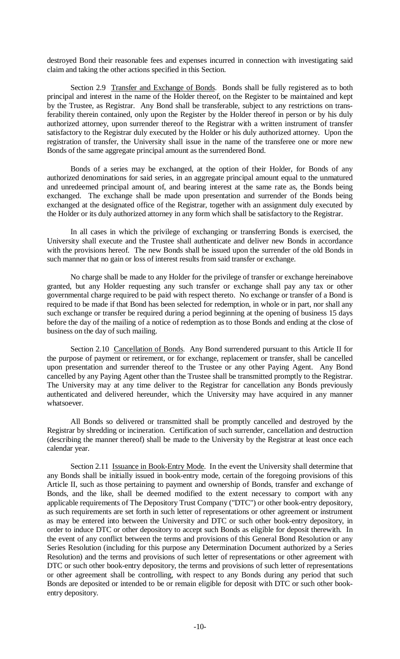destroyed Bond their reasonable fees and expenses incurred in connection with investigating said claim and taking the other actions specified in this Section.

Section 2.9 Transfer and Exchange of Bonds. Bonds shall be fully registered as to both principal and interest in the name of the Holder thereof, on the Register to be maintained and kept by the Trustee, as Registrar. Any Bond shall be transferable, subject to any restrictions on transferability therein contained, only upon the Register by the Holder thereof in person or by his duly authorized attorney, upon surrender thereof to the Registrar with a written instrument of transfer satisfactory to the Registrar duly executed by the Holder or his duly authorized attorney. Upon the registration of transfer, the University shall issue in the name of the transferee one or more new Bonds of the same aggregate principal amount as the surrendered Bond.

Bonds of a series may be exchanged, at the option of their Holder, for Bonds of any authorized denominations for said series, in an aggregate principal amount equal to the unmatured and unredeemed principal amount of, and bearing interest at the same rate as, the Bonds being exchanged. The exchange shall be made upon presentation and surrender of the Bonds being exchanged at the designated office of the Registrar, together with an assignment duly executed by the Holder or its duly authorized attorney in any form which shall be satisfactory to the Registrar.

In all cases in which the privilege of exchanging or transferring Bonds is exercised, the University shall execute and the Trustee shall authenticate and deliver new Bonds in accordance with the provisions hereof. The new Bonds shall be issued upon the surrender of the old Bonds in such manner that no gain or loss of interest results from said transfer or exchange.

No charge shall be made to any Holder for the privilege of transfer or exchange hereinabove granted, but any Holder requesting any such transfer or exchange shall pay any tax or other governmental charge required to be paid with respect thereto. No exchange or transfer of a Bond is required to be made if that Bond has been selected for redemption, in whole or in part, nor shall any such exchange or transfer be required during a period beginning at the opening of business 15 days before the day of the mailing of a notice of redemption as to those Bonds and ending at the close of business on the day of such mailing.

Section 2.10 Cancellation of Bonds. Any Bond surrendered pursuant to this Article II for the purpose of payment or retirement, or for exchange, replacement or transfer, shall be cancelled upon presentation and surrender thereof to the Trustee or any other Paying Agent. Any Bond cancelled by any Paying Agent other than the Trustee shall be transmitted promptly to the Registrar. The University may at any time deliver to the Registrar for cancellation any Bonds previously authenticated and delivered hereunder, which the University may have acquired in any manner whatsoever.

All Bonds so delivered or transmitted shall be promptly cancelled and destroyed by the Registrar by shredding or incineration. Certification of such surrender, cancellation and destruction (describing the manner thereof) shall be made to the University by the Registrar at least once each calendar year.

Section 2.11 Issuance in Book-Entry Mode. In the event the University shall determine that any Bonds shall be initially issued in book-entry mode, certain of the foregoing provisions of this Article II, such as those pertaining to payment and ownership of Bonds, transfer and exchange of Bonds, and the like, shall be deemed modified to the extent necessary to comport with any applicable requirements of The Depository Trust Company ("DTC") or other book-entry depository, as such requirements are set forth in such letter of representations or other agreement or instrument as may be entered into between the University and DTC or such other book-entry depository, in order to induce DTC or other depository to accept such Bonds as eligible for deposit therewith. In the event of any conflict between the terms and provisions of this General Bond Resolution or any Series Resolution (including for this purpose any Determination Document authorized by a Series Resolution) and the terms and provisions of such letter of representations or other agreement with DTC or such other book-entry depository, the terms and provisions of such letter of representations or other agreement shall be controlling, with respect to any Bonds during any period that such Bonds are deposited or intended to be or remain eligible for deposit with DTC or such other bookentry depository.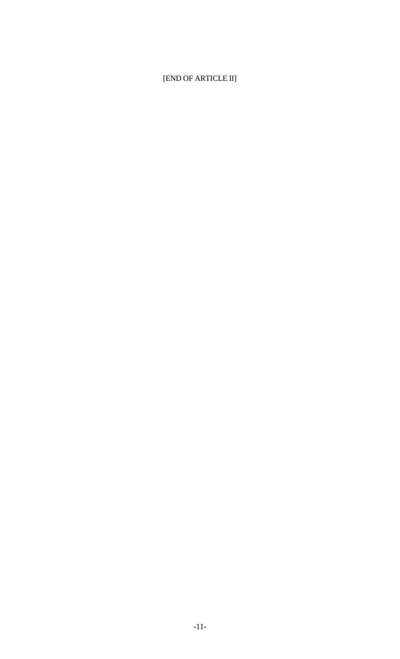# [END OF ARTICLE II]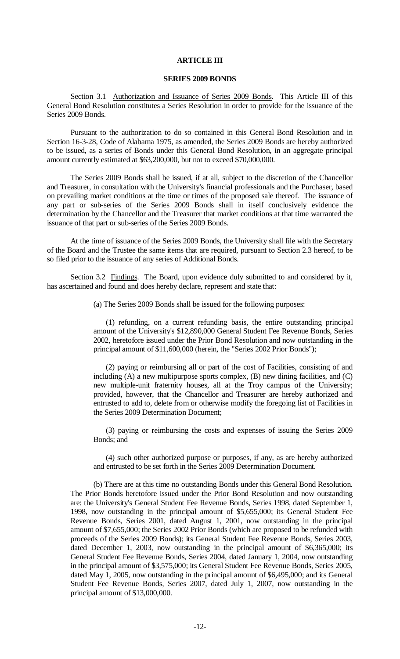#### **ARTICLE III**

# **SERIES 2009 BONDS**

Section 3.1 Authorization and Issuance of Series 2009 Bonds. This Article III of this General Bond Resolution constitutes a Series Resolution in order to provide for the issuance of the Series 2009 Bonds.

Pursuant to the authorization to do so contained in this General Bond Resolution and in Section 16-3-28, Code of Alabama 1975, as amended, the Series 2009 Bonds are hereby authorized to be issued, as a series of Bonds under this General Bond Resolution, in an aggregate principal amount currently estimated at \$63,200,000, but not to exceed \$70,000,000.

The Series 2009 Bonds shall be issued, if at all, subject to the discretion of the Chancellor and Treasurer, in consultation with the University's financial professionals and the Purchaser, based on prevailing market conditions at the time or times of the proposed sale thereof. The issuance of any part or sub-series of the Series 2009 Bonds shall in itself conclusively evidence the determination by the Chancellor and the Treasurer that market conditions at that time warranted the issuance of that part or sub-series of the Series 2009 Bonds.

At the time of issuance of the Series 2009 Bonds, the University shall file with the Secretary of the Board and the Trustee the same items that are required, pursuant to Section 2.3 hereof, to be so filed prior to the issuance of any series of Additional Bonds.

Section 3.2 Findings. The Board, upon evidence duly submitted to and considered by it, has ascertained and found and does hereby declare, represent and state that:

(a) The Series 2009 Bonds shall be issued for the following purposes:

(1) refunding, on a current refunding basis, the entire outstanding principal amount of the University's \$12,890,000 General Student Fee Revenue Bonds, Series 2002, heretofore issued under the Prior Bond Resolution and now outstanding in the principal amount of \$11,600,000 (herein, the "Series 2002 Prior Bonds");

(2) paying or reimbursing all or part of the cost of Facilities, consisting of and including (A) a new multipurpose sports complex, (B) new dining facilities, and (C) new multiple-unit fraternity houses, all at the Troy campus of the University; provided, however, that the Chancellor and Treasurer are hereby authorized and entrusted to add to, delete from or otherwise modify the foregoing list of Facilities in the Series 2009 Determination Document;

(3) paying or reimbursing the costs and expenses of issuing the Series 2009 Bonds; and

(4) such other authorized purpose or purposes, if any, as are hereby authorized and entrusted to be set forth in the Series 2009 Determination Document.

(b) There are at this time no outstanding Bonds under this General Bond Resolution. The Prior Bonds heretofore issued under the Prior Bond Resolution and now outstanding are: the University's General Student Fee Revenue Bonds, Series 1998, dated September 1, 1998, now outstanding in the principal amount of \$5,655,000; its General Student Fee Revenue Bonds, Series 2001, dated August 1, 2001, now outstanding in the principal amount of \$7,655,000; the Series 2002 Prior Bonds (which are proposed to be refunded with proceeds of the Series 2009 Bonds); its General Student Fee Revenue Bonds, Series 2003, dated December 1, 2003, now outstanding in the principal amount of \$6,365,000; its General Student Fee Revenue Bonds, Series 2004, dated January 1, 2004, now outstanding in the principal amount of \$3,575,000; its General Student Fee Revenue Bonds, Series 2005, dated May 1, 2005, now outstanding in the principal amount of \$6,495,000; and its General Student Fee Revenue Bonds, Series 2007, dated July 1, 2007, now outstanding in the principal amount of \$13,000,000.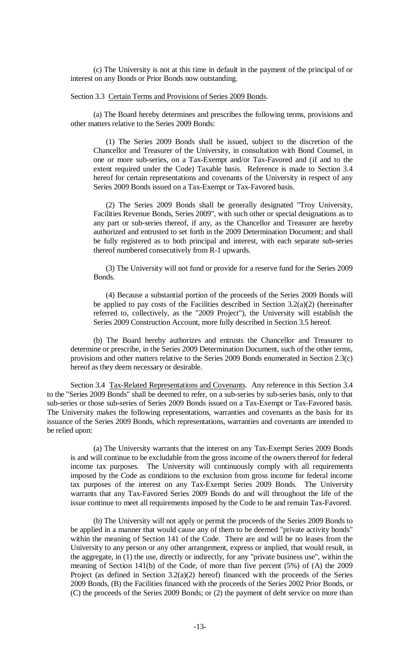(c) The University is not at this time in default in the payment of the principal of or interest on any Bonds or Prior Bonds now outstanding.

Section 3.3 Certain Terms and Provisions of Series 2009 Bonds.

(a) The Board hereby determines and prescribes the following terms, provisions and other matters relative to the Series 2009 Bonds:

(1) The Series 2009 Bonds shall be issued, subject to the discretion of the Chancellor and Treasurer of the University, in consultation with Bond Counsel, in one or more sub-series, on a Tax-Exempt and/or Tax-Favored and (if and to the extent required under the Code) Taxable basis. Reference is made to Section 3.4 hereof for certain representations and covenants of the University in respect of any Series 2009 Bonds issued on a Tax-Exempt or Tax-Favored basis.

(2) The Series 2009 Bonds shall be generally designated "Troy University, Facilities Revenue Bonds, Series 2009", with such other or special designations as to any part or sub-series thereof, if any, as the Chancellor and Treasurer are hereby authorized and entrusted to set forth in the 2009 Determination Document; and shall be fully registered as to both principal and interest, with each separate sub-series thereof numbered consecutively from R-1 upwards.

(3) The University will not fund or provide for a reserve fund for the Series 2009 Bonds.

(4) Because a substantial portion of the proceeds of the Series 2009 Bonds will be applied to pay costs of the Facilities described in Section 3.2(a)(2) (hereinafter referred to, collectively, as the "2009 Project"), the University will establish the Series 2009 Construction Account, more fully described in Section 3.5 hereof.

(b) The Board hereby authorizes and entrusts the Chancellor and Treasurer to determine or prescribe, in the Series 2009 Determination Document, such of the other terms, provisions and other matters relative to the Series 2009 Bonds enumerated in Section 2.3(c) hereof as they deem necessary or desirable.

Section 3.4 Tax-Related Representations and Covenants. Any reference in this Section 3.4 to the "Series 2009 Bonds" shall be deemed to refer, on a sub-series by sub-series basis, only to that sub-series or those sub-series of Series 2009 Bonds issued on a Tax-Exempt or Tax-Favored basis. The University makes the following representations, warranties and covenants as the basis for its issuance of the Series 2009 Bonds, which representations, warranties and covenants are intended to be relied upon:

(a) The University warrants that the interest on any Tax-Exempt Series 2009 Bonds is and will continue to be excludable from the gross income of the owners thereof for federal income tax purposes. The University will continuously comply with all requirements imposed by the Code as conditions to the exclusion from gross income for federal income tax purposes of the interest on any Tax-Exempt Series 2009 Bonds. The University warrants that any Tax-Favored Series 2009 Bonds do and will throughout the life of the issue continue to meet all requirements imposed by the Code to be and remain Tax-Favored.

(b) The University will not apply or permit the proceeds of the Series 2009 Bonds to be applied in a manner that would cause any of them to be deemed "private activity bonds" within the meaning of Section 141 of the Code. There are and will be no leases from the University to any person or any other arrangement, express or implied, that would result, in the aggregate, in (1) the use, directly or indirectly, for any "private business use", within the meaning of Section 141(b) of the Code, of more than five percent (5%) of (A) the 2009 Project (as defined in Section 3.2(a)(2) hereof) financed with the proceeds of the Series 2009 Bonds, (B) the Facilities financed with the proceeds of the Series 2002 Prior Bonds, or (C) the proceeds of the Series 2009 Bonds; or (2) the payment of debt service on more than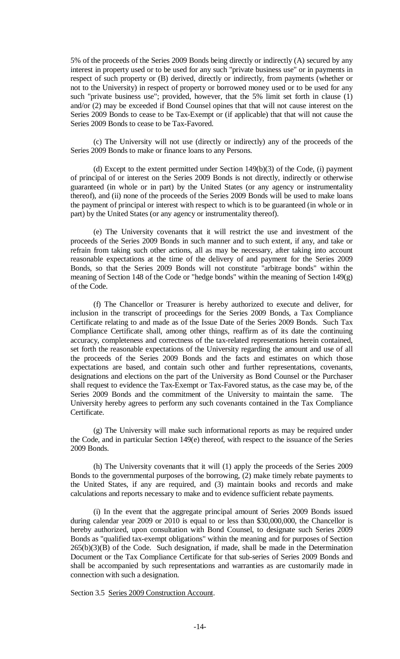5% of the proceeds of the Series 2009 Bonds being directly or indirectly (A) secured by any interest in property used or to be used for any such "private business use" or in payments in respect of such property or (B) derived, directly or indirectly, from payments (whether or not to the University) in respect of property or borrowed money used or to be used for any such "private business use"; provided, however, that the 5% limit set forth in clause (1) and/or (2) may be exceeded if Bond Counsel opines that that will not cause interest on the Series 2009 Bonds to cease to be Tax-Exempt or (if applicable) that that will not cause the Series 2009 Bonds to cease to be Tax-Favored.

(c) The University will not use (directly or indirectly) any of the proceeds of the Series 2009 Bonds to make or finance loans to any Persons.

(d) Except to the extent permitted under Section 149(b)(3) of the Code, (i) payment of principal of or interest on the Series 2009 Bonds is not directly, indirectly or otherwise guaranteed (in whole or in part) by the United States (or any agency or instrumentality thereof), and (ii) none of the proceeds of the Series 2009 Bonds will be used to make loans the payment of principal or interest with respect to which is to be guaranteed (in whole or in part) by the United States (or any agency or instrumentality thereof).

(e) The University covenants that it will restrict the use and investment of the proceeds of the Series 2009 Bonds in such manner and to such extent, if any, and take or refrain from taking such other actions, all as may be necessary, after taking into account reasonable expectations at the time of the delivery of and payment for the Series 2009 Bonds, so that the Series 2009 Bonds will not constitute "arbitrage bonds" within the meaning of Section 148 of the Code or "hedge bonds" within the meaning of Section 149(g) of the Code.

(f) The Chancellor or Treasurer is hereby authorized to execute and deliver, for inclusion in the transcript of proceedings for the Series 2009 Bonds, a Tax Compliance Certificate relating to and made as of the Issue Date of the Series 2009 Bonds. Such Tax Compliance Certificate shall, among other things, reaffirm as of its date the continuing accuracy, completeness and correctness of the tax-related representations herein contained, set forth the reasonable expectations of the University regarding the amount and use of all the proceeds of the Series 2009 Bonds and the facts and estimates on which those expectations are based, and contain such other and further representations, covenants, designations and elections on the part of the University as Bond Counsel or the Purchaser shall request to evidence the Tax-Exempt or Tax-Favored status, as the case may be, of the Series 2009 Bonds and the commitment of the University to maintain the same. The University hereby agrees to perform any such covenants contained in the Tax Compliance Certificate.

(g) The University will make such informational reports as may be required under the Code, and in particular Section 149(e) thereof, with respect to the issuance of the Series 2009 Bonds.

(h) The University covenants that it will (1) apply the proceeds of the Series 2009 Bonds to the governmental purposes of the borrowing, (2) make timely rebate payments to the United States, if any are required, and (3) maintain books and records and make calculations and reports necessary to make and to evidence sufficient rebate payments.

(i) In the event that the aggregate principal amount of Series 2009 Bonds issued during calendar year 2009 or 2010 is equal to or less than \$30,000,000, the Chancellor is hereby authorized, upon consultation with Bond Counsel, to designate such Series 2009 Bonds as "qualified tax-exempt obligations" within the meaning and for purposes of Section 265(b)(3)(B) of the Code. Such designation, if made, shall be made in the Determination Document or the Tax Compliance Certificate for that sub-series of Series 2009 Bonds and shall be accompanied by such representations and warranties as are customarily made in connection with such a designation.

Section 3.5 Series 2009 Construction Account.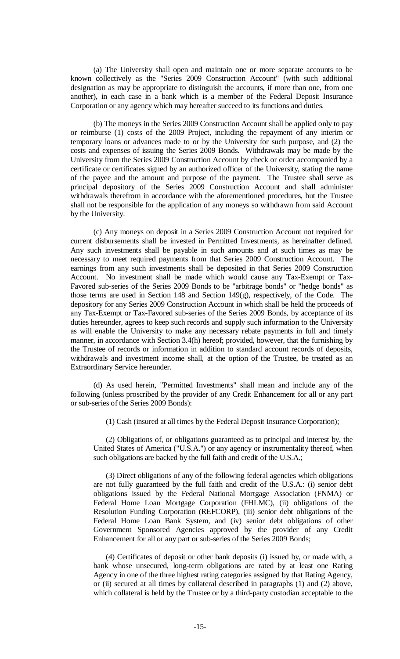(a) The University shall open and maintain one or more separate accounts to be known collectively as the "Series 2009 Construction Account" (with such additional designation as may be appropriate to distinguish the accounts, if more than one, from one another), in each case in a bank which is a member of the Federal Deposit Insurance Corporation or any agency which may hereafter succeed to its functions and duties.

(b) The moneys in the Series 2009 Construction Account shall be applied only to pay or reimburse (1) costs of the 2009 Project, including the repayment of any interim or temporary loans or advances made to or by the University for such purpose, and (2) the costs and expenses of issuing the Series 2009 Bonds. Withdrawals may be made by the University from the Series 2009 Construction Account by check or order accompanied by a certificate or certificates signed by an authorized officer of the University, stating the name of the payee and the amount and purpose of the payment. The Trustee shall serve as principal depository of the Series 2009 Construction Account and shall administer withdrawals therefrom in accordance with the aforementioned procedures, but the Trustee shall not be responsible for the application of any moneys so withdrawn from said Account by the University.

(c) Any moneys on deposit in a Series 2009 Construction Account not required for current disbursements shall be invested in Permitted Investments, as hereinafter defined. Any such investments shall be payable in such amounts and at such times as may be necessary to meet required payments from that Series 2009 Construction Account. The earnings from any such investments shall be deposited in that Series 2009 Construction Account. No investment shall be made which would cause any Tax-Exempt or Tax-Favored sub-series of the Series 2009 Bonds to be "arbitrage bonds" or "hedge bonds" as those terms are used in Section 148 and Section 149(g), respectively, of the Code. The depository for any Series 2009 Construction Account in which shall be held the proceeds of any Tax-Exempt or Tax-Favored sub-series of the Series 2009 Bonds, by acceptance of its duties hereunder, agrees to keep such records and supply such information to the University as will enable the University to make any necessary rebate payments in full and timely manner, in accordance with Section 3.4(h) hereof; provided, however, that the furnishing by the Trustee of records or information in addition to standard account records of deposits, withdrawals and investment income shall, at the option of the Trustee, be treated as an Extraordinary Service hereunder.

(d) As used herein, "Permitted Investments" shall mean and include any of the following (unless proscribed by the provider of any Credit Enhancement for all or any part or sub-series of the Series 2009 Bonds):

(1) Cash (insured at all times by the Federal Deposit Insurance Corporation);

(2) Obligations of, or obligations guaranteed as to principal and interest by, the United States of America ("U.S.A.") or any agency or instrumentality thereof, when such obligations are backed by the full faith and credit of the U.S.A.;

(3) Direct obligations of any of the following federal agencies which obligations are not fully guaranteed by the full faith and credit of the U.S.A.: (i) senior debt obligations issued by the Federal National Mortgage Association (FNMA) or Federal Home Loan Mortgage Corporation (FHLMC), (ii) obligations of the Resolution Funding Corporation (REFCORP), (iii) senior debt obligations of the Federal Home Loan Bank System, and (iv) senior debt obligations of other Government Sponsored Agencies approved by the provider of any Credit Enhancement for all or any part or sub-series of the Series 2009 Bonds;

(4) Certificates of deposit or other bank deposits (i) issued by, or made with, a bank whose unsecured, long-term obligations are rated by at least one Rating Agency in one of the three highest rating categories assigned by that Rating Agency, or (ii) secured at all times by collateral described in paragraphs (1) and (2) above, which collateral is held by the Trustee or by a third-party custodian acceptable to the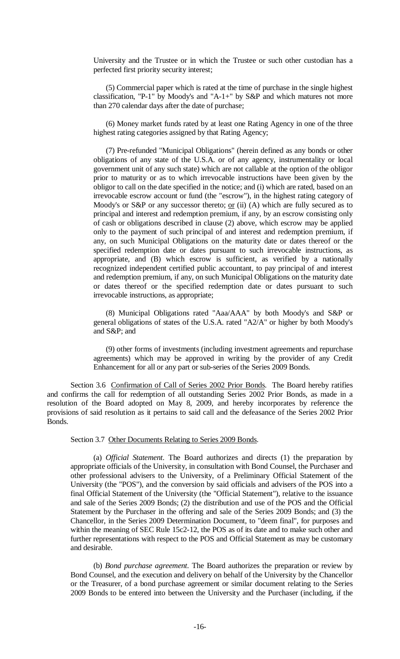University and the Trustee or in which the Trustee or such other custodian has a perfected first priority security interest;

(5) Commercial paper which is rated at the time of purchase in the single highest classification, "P-1" by Moody's and "A-1+" by S&P and which matures not more than 270 calendar days after the date of purchase;

(6) Money market funds rated by at least one Rating Agency in one of the three highest rating categories assigned by that Rating Agency;

(7) Pre-refunded "Municipal Obligations" (herein defined as any bonds or other obligations of any state of the U.S.A. or of any agency, instrumentality or local government unit of any such state) which are not callable at the option of the obligor prior to maturity or as to which irrevocable instructions have been given by the obligor to call on the date specified in the notice; and (i) which are rated, based on an irrevocable escrow account or fund (the "escrow"), in the highest rating category of Moody's or S&P or any successor thereto;  $or$  (ii) (A) which are fully secured as to</u> principal and interest and redemption premium, if any, by an escrow consisting only of cash or obligations described in clause (2) above, which escrow may be applied only to the payment of such principal of and interest and redemption premium, if any, on such Municipal Obligations on the maturity date or dates thereof or the specified redemption date or dates pursuant to such irrevocable instructions, as appropriate, and (B) which escrow is sufficient, as verified by a nationally recognized independent certified public accountant, to pay principal of and interest and redemption premium, if any, on such Municipal Obligations on the maturity date or dates thereof or the specified redemption date or dates pursuant to such irrevocable instructions, as appropriate;

(8) Municipal Obligations rated "Aaa/AAA" by both Moody's and S&P or general obligations of states of the U.S.A. rated "A2/A" or higher by both Moody's and S&P; and

(9) other forms of investments (including investment agreements and repurchase agreements) which may be approved in writing by the provider of any Credit Enhancement for all or any part or sub-series of the Series 2009 Bonds.

Section 3.6 Confirmation of Call of Series 2002 Prior Bonds. The Board hereby ratifies and confirms the call for redemption of all outstanding Series 2002 Prior Bonds, as made in a resolution of the Board adopted on May 8, 2009, and hereby incorporates by reference the provisions of said resolution as it pertains to said call and the defeasance of the Series 2002 Prior Bonds.

#### Section 3.7 Other Documents Relating to Series 2009 Bonds.

(a) *Official Statement*. The Board authorizes and directs (1) the preparation by appropriate officials of the University, in consultation with Bond Counsel, the Purchaser and other professional advisers to the University, of a Preliminary Official Statement of the University (the "POS"), and the conversion by said officials and advisers of the POS into a final Official Statement of the University (the "Official Statement"), relative to the issuance and sale of the Series 2009 Bonds; (2) the distribution and use of the POS and the Official Statement by the Purchaser in the offering and sale of the Series 2009 Bonds; and (3) the Chancellor, in the Series 2009 Determination Document, to "deem final", for purposes and within the meaning of SEC Rule 15c2-12, the POS as of its date and to make such other and further representations with respect to the POS and Official Statement as may be customary and desirable.

(b) *Bond purchase agreement*. The Board authorizes the preparation or review by Bond Counsel, and the execution and delivery on behalf of the University by the Chancellor or the Treasurer, of a bond purchase agreement or similar document relating to the Series 2009 Bonds to be entered into between the University and the Purchaser (including, if the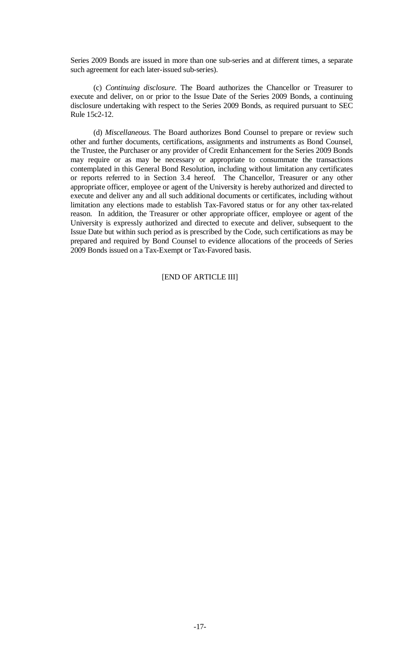Series 2009 Bonds are issued in more than one sub-series and at different times, a separate such agreement for each later-issued sub-series).

(c) *Continuing disclosure*. The Board authorizes the Chancellor or Treasurer to execute and deliver, on or prior to the Issue Date of the Series 2009 Bonds, a continuing disclosure undertaking with respect to the Series 2009 Bonds, as required pursuant to SEC Rule 15c2-12.

(d) *Miscellaneous*. The Board authorizes Bond Counsel to prepare or review such other and further documents, certifications, assignments and instruments as Bond Counsel, the Trustee, the Purchaser or any provider of Credit Enhancement for the Series 2009 Bonds may require or as may be necessary or appropriate to consummate the transactions contemplated in this General Bond Resolution, including without limitation any certificates or reports referred to in Section 3.4 hereof. The Chancellor, Treasurer or any other appropriate officer, employee or agent of the University is hereby authorized and directed to execute and deliver any and all such additional documents or certificates, including without limitation any elections made to establish Tax-Favored status or for any other tax-related reason. In addition, the Treasurer or other appropriate officer, employee or agent of the University is expressly authorized and directed to execute and deliver, subsequent to the Issue Date but within such period as is prescribed by the Code, such certifications as may be prepared and required by Bond Counsel to evidence allocations of the proceeds of Series 2009 Bonds issued on a Tax-Exempt or Tax-Favored basis.

# [END OF ARTICLE III]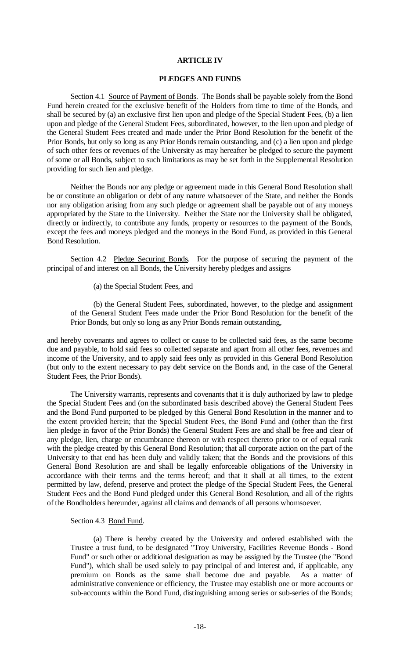## **ARTICLE IV**

#### **PLEDGES AND FUNDS**

Section 4.1 Source of Payment of Bonds. The Bonds shall be payable solely from the Bond Fund herein created for the exclusive benefit of the Holders from time to time of the Bonds, and shall be secured by (a) an exclusive first lien upon and pledge of the Special Student Fees, (b) a lien upon and pledge of the General Student Fees, subordinated, however, to the lien upon and pledge of the General Student Fees created and made under the Prior Bond Resolution for the benefit of the Prior Bonds, but only so long as any Prior Bonds remain outstanding, and (c) a lien upon and pledge of such other fees or revenues of the University as may hereafter be pledged to secure the payment of some or all Bonds, subject to such limitations as may be set forth in the Supplemental Resolution providing for such lien and pledge.

Neither the Bonds nor any pledge or agreement made in this General Bond Resolution shall be or constitute an obligation or debt of any nature whatsoever of the State, and neither the Bonds nor any obligation arising from any such pledge or agreement shall be payable out of any moneys appropriated by the State to the University. Neither the State nor the University shall be obligated, directly or indirectly, to contribute any funds, property or resources to the payment of the Bonds, except the fees and moneys pledged and the moneys in the Bond Fund, as provided in this General Bond Resolution.

Section 4.2 Pledge Securing Bonds. For the purpose of securing the payment of the principal of and interest on all Bonds, the University hereby pledges and assigns

(a) the Special Student Fees, and

(b) the General Student Fees, subordinated, however, to the pledge and assignment of the General Student Fees made under the Prior Bond Resolution for the benefit of the Prior Bonds, but only so long as any Prior Bonds remain outstanding,

and hereby covenants and agrees to collect or cause to be collected said fees, as the same become due and payable, to hold said fees so collected separate and apart from all other fees, revenues and income of the University, and to apply said fees only as provided in this General Bond Resolution (but only to the extent necessary to pay debt service on the Bonds and, in the case of the General Student Fees, the Prior Bonds).

The University warrants, represents and covenants that it is duly authorized by law to pledge the Special Student Fees and (on the subordinated basis described above) the General Student Fees and the Bond Fund purported to be pledged by this General Bond Resolution in the manner and to the extent provided herein; that the Special Student Fees, the Bond Fund and (other than the first lien pledge in favor of the Prior Bonds) the General Student Fees are and shall be free and clear of any pledge, lien, charge or encumbrance thereon or with respect thereto prior to or of equal rank with the pledge created by this General Bond Resolution; that all corporate action on the part of the University to that end has been duly and validly taken; that the Bonds and the provisions of this General Bond Resolution are and shall be legally enforceable obligations of the University in accordance with their terms and the terms hereof; and that it shall at all times, to the extent permitted by law, defend, preserve and protect the pledge of the Special Student Fees, the General Student Fees and the Bond Fund pledged under this General Bond Resolution, and all of the rights of the Bondholders hereunder, against all claims and demands of all persons whomsoever.

#### Section 4.3 Bond Fund.

(a) There is hereby created by the University and ordered established with the Trustee a trust fund, to be designated "Troy University, Facilities Revenue Bonds - Bond Fund" or such other or additional designation as may be assigned by the Trustee (the "Bond Fund"), which shall be used solely to pay principal of and interest and, if applicable, any premium on Bonds as the same shall become due and payable. As a matter of administrative convenience or efficiency, the Trustee may establish one or more accounts or sub-accounts within the Bond Fund, distinguishing among series or sub-series of the Bonds;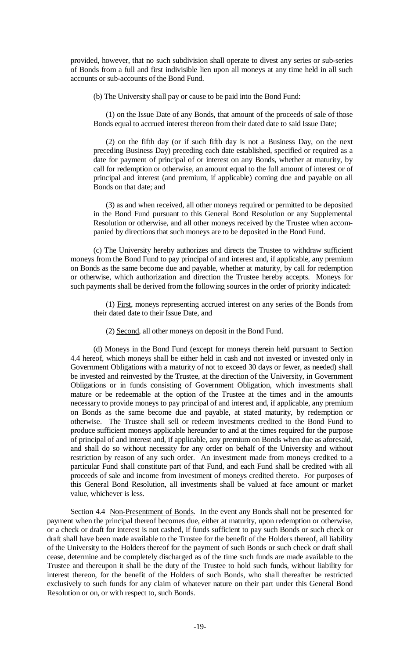provided, however, that no such subdivision shall operate to divest any series or sub-series of Bonds from a full and first indivisible lien upon all moneys at any time held in all such accounts or sub-accounts of the Bond Fund.

(b) The University shall pay or cause to be paid into the Bond Fund:

(1) on the Issue Date of any Bonds, that amount of the proceeds of sale of those Bonds equal to accrued interest thereon from their dated date to said Issue Date;

(2) on the fifth day (or if such fifth day is not a Business Day, on the next preceding Business Day) preceding each date established, specified or required as a date for payment of principal of or interest on any Bonds, whether at maturity, by call for redemption or otherwise, an amount equal to the full amount of interest or of principal and interest (and premium, if applicable) coming due and payable on all Bonds on that date; and

(3) as and when received, all other moneys required or permitted to be deposited in the Bond Fund pursuant to this General Bond Resolution or any Supplemental Resolution or otherwise, and all other moneys received by the Trustee when accompanied by directions that such moneys are to be deposited in the Bond Fund.

(c) The University hereby authorizes and directs the Trustee to withdraw sufficient moneys from the Bond Fund to pay principal of and interest and, if applicable, any premium on Bonds as the same become due and payable, whether at maturity, by call for redemption or otherwise, which authorization and direction the Trustee hereby accepts. Moneys for such payments shall be derived from the following sources in the order of priority indicated:

(1) First, moneys representing accrued interest on any series of the Bonds from their dated date to their Issue Date, and

(2) Second, all other moneys on deposit in the Bond Fund.

(d) Moneys in the Bond Fund (except for moneys therein held pursuant to Section 4.4 hereof, which moneys shall be either held in cash and not invested or invested only in Government Obligations with a maturity of not to exceed 30 days or fewer, as needed) shall be invested and reinvested by the Trustee, at the direction of the University, in Government Obligations or in funds consisting of Government Obligation, which investments shall mature or be redeemable at the option of the Trustee at the times and in the amounts necessary to provide moneys to pay principal of and interest and, if applicable, any premium on Bonds as the same become due and payable, at stated maturity, by redemption or otherwise. The Trustee shall sell or redeem investments credited to the Bond Fund to produce sufficient moneys applicable hereunder to and at the times required for the purpose of principal of and interest and, if applicable, any premium on Bonds when due as aforesaid, and shall do so without necessity for any order on behalf of the University and without restriction by reason of any such order. An investment made from moneys credited to a particular Fund shall constitute part of that Fund, and each Fund shall be credited with all proceeds of sale and income from investment of moneys credited thereto. For purposes of this General Bond Resolution, all investments shall be valued at face amount or market value, whichever is less.

Section 4.4 Non-Presentment of Bonds. In the event any Bonds shall not be presented for payment when the principal thereof becomes due, either at maturity, upon redemption or otherwise, or a check or draft for interest is not cashed, if funds sufficient to pay such Bonds or such check or draft shall have been made available to the Trustee for the benefit of the Holders thereof, all liability of the University to the Holders thereof for the payment of such Bonds or such check or draft shall cease, determine and be completely discharged as of the time such funds are made available to the Trustee and thereupon it shall be the duty of the Trustee to hold such funds, without liability for interest thereon, for the benefit of the Holders of such Bonds, who shall thereafter be restricted exclusively to such funds for any claim of whatever nature on their part under this General Bond Resolution or on, or with respect to, such Bonds.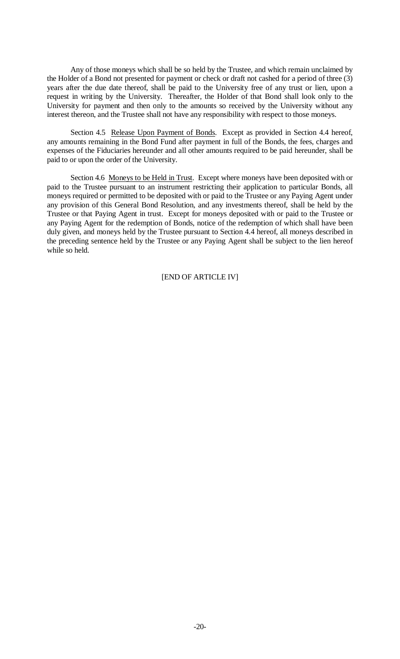Any of those moneys which shall be so held by the Trustee, and which remain unclaimed by the Holder of a Bond not presented for payment or check or draft not cashed for a period of three (3) years after the due date thereof, shall be paid to the University free of any trust or lien, upon a request in writing by the University. Thereafter, the Holder of that Bond shall look only to the University for payment and then only to the amounts so received by the University without any interest thereon, and the Trustee shall not have any responsibility with respect to those moneys.

Section 4.5 Release Upon Payment of Bonds. Except as provided in Section 4.4 hereof, any amounts remaining in the Bond Fund after payment in full of the Bonds, the fees, charges and expenses of the Fiduciaries hereunder and all other amounts required to be paid hereunder, shall be paid to or upon the order of the University.

Section 4.6 Moneys to be Held in Trust. Except where moneys have been deposited with or paid to the Trustee pursuant to an instrument restricting their application to particular Bonds, all moneys required or permitted to be deposited with or paid to the Trustee or any Paying Agent under any provision of this General Bond Resolution, and any investments thereof, shall be held by the Trustee or that Paying Agent in trust. Except for moneys deposited with or paid to the Trustee or any Paying Agent for the redemption of Bonds, notice of the redemption of which shall have been duly given, and moneys held by the Trustee pursuant to Section 4.4 hereof, all moneys described in the preceding sentence held by the Trustee or any Paying Agent shall be subject to the lien hereof while so held.

[END OF ARTICLE IV]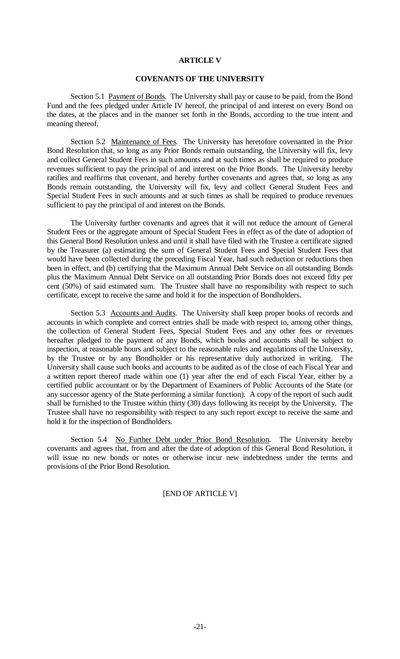#### **ARTICLE V**

# **COVENANTS OF THE UNIVERSITY**

Section 5.1 Payment of Bonds. The University shall pay or cause to be paid, from the Bond Fund and the fees pledged under Article IV hereof, the principal of and interest on every Bond on the dates, at the places and in the manner set forth in the Bonds, according to the true intent and meaning thereof.

Section 5.2 Maintenance of Fees. The University has heretofore covenanted in the Prior Bond Resolution that, so long as any Prior Bonds remain outstanding, the University will fix, levy and collect General Student Fees in such amounts and at such times as shall be required to produce revenues sufficient to pay the principal of and interest on the Prior Bonds. The University hereby ratifies and reaffirms that covenant, and hereby further covenants and agrees that, so long as any Bonds remain outstanding, the University will fix, levy and collect General Student Fees and Special Student Fees in such amounts and at such times as shall be required to produce revenues sufficient to pay the principal of and interest on the Bonds.

The University further covenants and agrees that it will not reduce the amount of General Student Fees or the aggregate amount of Special Student Fees in effect as of the date of adoption of this General Bond Resolution unless and until it shall have filed with the Trustee a certificate signed by the Treasurer (a) estimating the sum of General Student Fees and Special Student Fees that would have been collected during the preceding Fiscal Year, had such reduction or reductions then been in effect, and (b) certifying that the Maximum Annual Debt Service on all outstanding Bonds plus the Maximum Annual Debt Service on all outstanding Prior Bonds does not exceed fifty per cent (50%) of said estimated sum. The Trustee shall have no responsibility with respect to such certificate, except to receive the same and hold it for the inspection of Bondholders.

Section 5.3 Accounts and Audits. The University shall keep proper books of records and accounts in which complete and correct entries shall be made with respect to, among other things, the collection of General Student Fees, Special Student Fees and any other fees or revenues hereafter pledged to the payment of any Bonds, which books and accounts shall be subject to inspection, at reasonable hours and subject to the reasonable rules and regulations of the University, by the Trustee or by any Bondholder or his representative duly authorized in writing. The University shall cause such books and accounts to be audited as of the close of each Fiscal Year and a written report thereof made within one (1) year after the end of each Fiscal Year, either by a certified public accountant or by the Department of Examiners of Public Accounts of the State (or any successor agency of the State performing a similar function). A copy of the report of such audit shall be furnished to the Trustee within thirty (30) days following its receipt by the University. The Trustee shall have no responsibility with respect to any such report except to receive the same and hold it for the inspection of Bondholders.

Section 5.4 No Further Debt under Prior Bond Resolution. The University hereby covenants and agrees that, from and after the date of adoption of this General Bond Resolution, it will issue no new bonds or notes or otherwise incur new indebtedness under the terms and provisions of the Prior Bond Resolution.

# [END OF ARTICLE V]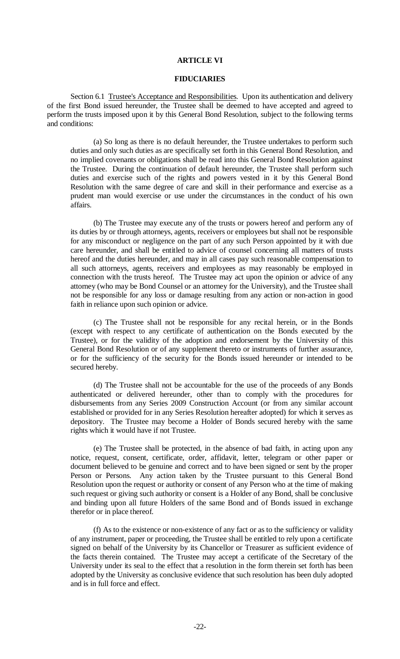#### **ARTICLE VI**

#### **FIDUCIARIES**

Section 6.1 Trustee's Acceptance and Responsibilities. Upon its authentication and delivery of the first Bond issued hereunder, the Trustee shall be deemed to have accepted and agreed to perform the trusts imposed upon it by this General Bond Resolution, subject to the following terms and conditions:

(a) So long as there is no default hereunder, the Trustee undertakes to perform such duties and only such duties as are specifically set forth in this General Bond Resolution, and no implied covenants or obligations shall be read into this General Bond Resolution against the Trustee. During the continuation of default hereunder, the Trustee shall perform such duties and exercise such of the rights and powers vested in it by this General Bond Resolution with the same degree of care and skill in their performance and exercise as a prudent man would exercise or use under the circumstances in the conduct of his own affairs.

(b) The Trustee may execute any of the trusts or powers hereof and perform any of its duties by or through attorneys, agents, receivers or employees but shall not be responsible for any misconduct or negligence on the part of any such Person appointed by it with due care hereunder, and shall be entitled to advice of counsel concerning all matters of trusts hereof and the duties hereunder, and may in all cases pay such reasonable compensation to all such attorneys, agents, receivers and employees as may reasonably be employed in connection with the trusts hereof. The Trustee may act upon the opinion or advice of any attorney (who may be Bond Counsel or an attorney for the University), and the Trustee shall not be responsible for any loss or damage resulting from any action or non-action in good faith in reliance upon such opinion or advice.

(c) The Trustee shall not be responsible for any recital herein, or in the Bonds (except with respect to any certificate of authentication on the Bonds executed by the Trustee), or for the validity of the adoption and endorsement by the University of this General Bond Resolution or of any supplement thereto or instruments of further assurance, or for the sufficiency of the security for the Bonds issued hereunder or intended to be secured hereby.

(d) The Trustee shall not be accountable for the use of the proceeds of any Bonds authenticated or delivered hereunder, other than to comply with the procedures for disbursements from any Series 2009 Construction Account (or from any similar account established or provided for in any Series Resolution hereafter adopted) for which it serves as depository. The Trustee may become a Holder of Bonds secured hereby with the same rights which it would have if not Trustee.

(e) The Trustee shall be protected, in the absence of bad faith, in acting upon any notice, request, consent, certificate, order, affidavit, letter, telegram or other paper or document believed to be genuine and correct and to have been signed or sent by the proper Person or Persons. Any action taken by the Trustee pursuant to this General Bond Resolution upon the request or authority or consent of any Person who at the time of making such request or giving such authority or consent is a Holder of any Bond, shall be conclusive and binding upon all future Holders of the same Bond and of Bonds issued in exchange therefor or in place thereof.

(f) As to the existence or non-existence of any fact or as to the sufficiency or validity of any instrument, paper or proceeding, the Trustee shall be entitled to rely upon a certificate signed on behalf of the University by its Chancellor or Treasurer as sufficient evidence of the facts therein contained. The Trustee may accept a certificate of the Secretary of the University under its seal to the effect that a resolution in the form therein set forth has been adopted by the University as conclusive evidence that such resolution has been duly adopted and is in full force and effect.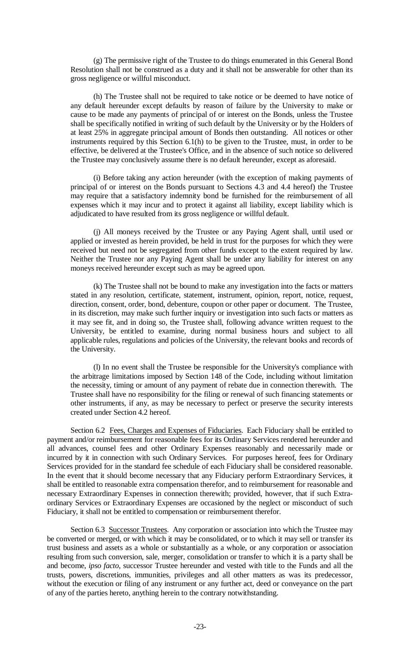(g) The permissive right of the Trustee to do things enumerated in this General Bond Resolution shall not be construed as a duty and it shall not be answerable for other than its gross negligence or willful misconduct.

(h) The Trustee shall not be required to take notice or be deemed to have notice of any default hereunder except defaults by reason of failure by the University to make or cause to be made any payments of principal of or interest on the Bonds, unless the Trustee shall be specifically notified in writing of such default by the University or by the Holders of at least 25% in aggregate principal amount of Bonds then outstanding. All notices or other instruments required by this Section 6.1(h) to be given to the Trustee, must, in order to be effective, be delivered at the Trustee's Office, and in the absence of such notice so delivered the Trustee may conclusively assume there is no default hereunder, except as aforesaid.

(i) Before taking any action hereunder (with the exception of making payments of principal of or interest on the Bonds pursuant to Sections 4.3 and 4.4 hereof) the Trustee may require that a satisfactory indemnity bond be furnished for the reimbursement of all expenses which it may incur and to protect it against all liability, except liability which is adjudicated to have resulted from its gross negligence or willful default.

(j) All moneys received by the Trustee or any Paying Agent shall, until used or applied or invested as herein provided, be held in trust for the purposes for which they were received but need not be segregated from other funds except to the extent required by law. Neither the Trustee nor any Paying Agent shall be under any liability for interest on any moneys received hereunder except such as may be agreed upon.

(k) The Trustee shall not be bound to make any investigation into the facts or matters stated in any resolution, certificate, statement, instrument, opinion, report, notice, request, direction, consent, order, bond, debenture, coupon or other paper or document. The Trustee, in its discretion, may make such further inquiry or investigation into such facts or matters as it may see fit, and in doing so, the Trustee shall, following advance written request to the University, be entitled to examine, during normal business hours and subject to all applicable rules, regulations and policies of the University, the relevant books and records of the University.

(l) In no event shall the Trustee be responsible for the University's compliance with the arbitrage limitations imposed by Section 148 of the Code, including without limitation the necessity, timing or amount of any payment of rebate due in connection therewith. The Trustee shall have no responsibility for the filing or renewal of such financing statements or other instruments, if any, as may be necessary to perfect or preserve the security interests created under Section 4.2 hereof.

Section 6.2 Fees, Charges and Expenses of Fiduciaries. Each Fiduciary shall be entitled to payment and/or reimbursement for reasonable fees for its Ordinary Services rendered hereunder and all advances, counsel fees and other Ordinary Expenses reasonably and necessarily made or incurred by it in connection with such Ordinary Services. For purposes hereof, fees for Ordinary Services provided for in the standard fee schedule of each Fiduciary shall be considered reasonable. In the event that it should become necessary that any Fiduciary perform Extraordinary Services, it shall be entitled to reasonable extra compensation therefor, and to reimbursement for reasonable and necessary Extraordinary Expenses in connection therewith; provided, however, that if such Extraordinary Services or Extraordinary Expenses are occasioned by the neglect or misconduct of such Fiduciary, it shall not be entitled to compensation or reimbursement therefor.

Section 6.3 Successor Trustees. Any corporation or association into which the Trustee may be converted or merged, or with which it may be consolidated, or to which it may sell or transfer its trust business and assets as a whole or substantially as a whole, or any corporation or association resulting from such conversion, sale, merger, consolidation or transfer to which it is a party shall be and become, *ipso facto*, successor Trustee hereunder and vested with title to the Funds and all the trusts, powers, discretions, immunities, privileges and all other matters as was its predecessor, without the execution or filing of any instrument or any further act, deed or conveyance on the part of any of the parties hereto, anything herein to the contrary notwithstanding.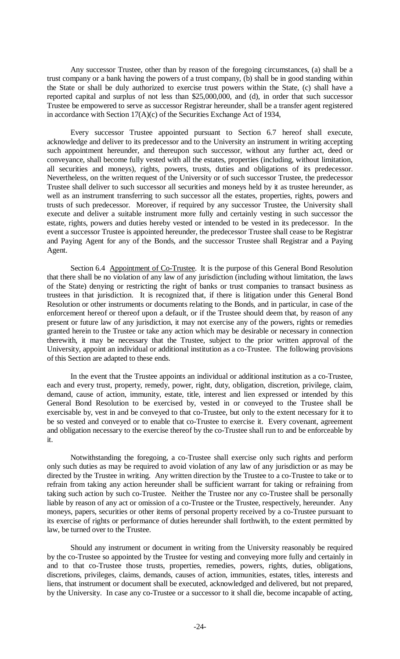Any successor Trustee, other than by reason of the foregoing circumstances, (a) shall be a trust company or a bank having the powers of a trust company, (b) shall be in good standing within the State or shall be duly authorized to exercise trust powers within the State, (c) shall have a reported capital and surplus of not less than \$25,000,000, and (d), in order that such successor Trustee be empowered to serve as successor Registrar hereunder, shall be a transfer agent registered in accordance with Section  $17(A)(c)$  of the Securities Exchange Act of 1934,

Every successor Trustee appointed pursuant to Section 6.7 hereof shall execute, acknowledge and deliver to its predecessor and to the University an instrument in writing accepting such appointment hereunder, and thereupon such successor, without any further act, deed or conveyance, shall become fully vested with all the estates, properties (including, without limitation, all securities and moneys), rights, powers, trusts, duties and obligations of its predecessor. Nevertheless, on the written request of the University or of such successor Trustee, the predecessor Trustee shall deliver to such successor all securities and moneys held by it as trustee hereunder, as well as an instrument transferring to such successor all the estates, properties, rights, powers and trusts of such predecessor. Moreover, if required by any successor Trustee, the University shall execute and deliver a suitable instrument more fully and certainly vesting in such successor the estate, rights, powers and duties hereby vested or intended to be vested in its predecessor. In the event a successor Trustee is appointed hereunder, the predecessor Trustee shall cease to be Registrar and Paying Agent for any of the Bonds, and the successor Trustee shall Registrar and a Paying Agent.

Section 6.4 Appointment of Co-Trustee. It is the purpose of this General Bond Resolution that there shall be no violation of any law of any jurisdiction (including without limitation, the laws of the State) denying or restricting the right of banks or trust companies to transact business as trustees in that jurisdiction. It is recognized that, if there is litigation under this General Bond Resolution or other instruments or documents relating to the Bonds, and in particular, in case of the enforcement hereof or thereof upon a default, or if the Trustee should deem that, by reason of any present or future law of any jurisdiction, it may not exercise any of the powers, rights or remedies granted herein to the Trustee or take any action which may be desirable or necessary in connection therewith, it may be necessary that the Trustee, subject to the prior written approval of the University, appoint an individual or additional institution as a co-Trustee. The following provisions of this Section are adapted to these ends.

In the event that the Trustee appoints an individual or additional institution as a co-Trustee, each and every trust, property, remedy, power, right, duty, obligation, discretion, privilege, claim, demand, cause of action, immunity, estate, title, interest and lien expressed or intended by this General Bond Resolution to be exercised by, vested in or conveyed to the Trustee shall be exercisable by, vest in and be conveyed to that co-Trustee, but only to the extent necessary for it to be so vested and conveyed or to enable that co-Trustee to exercise it. Every covenant, agreement and obligation necessary to the exercise thereof by the co-Trustee shall run to and be enforceable by it.

Notwithstanding the foregoing, a co-Trustee shall exercise only such rights and perform only such duties as may be required to avoid violation of any law of any jurisdiction or as may be directed by the Trustee in writing. Any written direction by the Trustee to a co-Trustee to take or to refrain from taking any action hereunder shall be sufficient warrant for taking or refraining from taking such action by such co-Trustee. Neither the Trustee nor any co-Trustee shall be personally liable by reason of any act or omission of a co-Trustee or the Trustee, respectively, hereunder. Any moneys, papers, securities or other items of personal property received by a co-Trustee pursuant to its exercise of rights or performance of duties hereunder shall forthwith, to the extent permitted by law, be turned over to the Trustee.

Should any instrument or document in writing from the University reasonably be required by the co-Trustee so appointed by the Trustee for vesting and conveying more fully and certainly in and to that co-Trustee those trusts, properties, remedies, powers, rights, duties, obligations, discretions, privileges, claims, demands, causes of action, immunities, estates, titles, interests and liens, that instrument or document shall be executed, acknowledged and delivered, but not prepared, by the University. In case any co-Trustee or a successor to it shall die, become incapable of acting,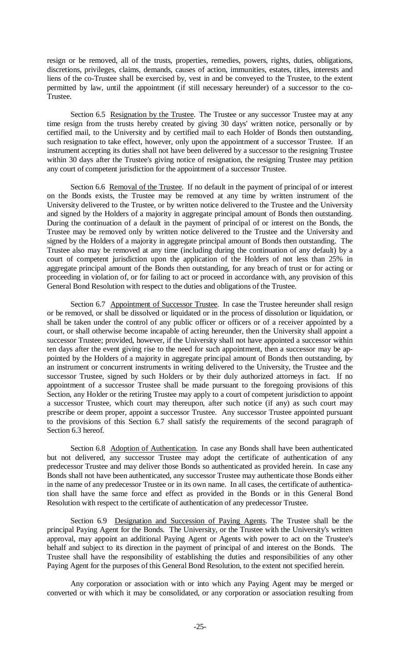resign or be removed, all of the trusts, properties, remedies, powers, rights, duties, obligations, discretions, privileges, claims, demands, causes of action, immunities, estates, titles, interests and liens of the co-Trustee shall be exercised by, vest in and be conveyed to the Trustee, to the extent permitted by law, until the appointment (if still necessary hereunder) of a successor to the co-Trustee.

Section 6.5 Resignation by the Trustee. The Trustee or any successor Trustee may at any time resign from the trusts hereby created by giving 30 days' written notice, personally or by certified mail, to the University and by certified mail to each Holder of Bonds then outstanding, such resignation to take effect, however, only upon the appointment of a successor Trustee. If an instrument accepting its duties shall not have been delivered by a successor to the resigning Trustee within 30 days after the Trustee's giving notice of resignation, the resigning Trustee may petition any court of competent jurisdiction for the appointment of a successor Trustee.

Section 6.6 Removal of the Trustee. If no default in the payment of principal of or interest on the Bonds exists, the Trustee may be removed at any time by written instrument of the University delivered to the Trustee, or by written notice delivered to the Trustee and the University and signed by the Holders of a majority in aggregate principal amount of Bonds then outstanding. During the continuation of a default in the payment of principal of or interest on the Bonds, the Trustee may be removed only by written notice delivered to the Trustee and the University and signed by the Holders of a majority in aggregate principal amount of Bonds then outstanding. The Trustee also may be removed at any time (including during the continuation of any default) by a court of competent jurisdiction upon the application of the Holders of not less than 25% in aggregate principal amount of the Bonds then outstanding, for any breach of trust or for acting or proceeding in violation of, or for failing to act or proceed in accordance with, any provision of this General Bond Resolution with respect to the duties and obligations of the Trustee.

Section 6.7 Appointment of Successor Trustee. In case the Trustee hereunder shall resign or be removed, or shall be dissolved or liquidated or in the process of dissolution or liquidation, or shall be taken under the control of any public officer or officers or of a receiver appointed by a court, or shall otherwise become incapable of acting hereunder, then the University shall appoint a successor Trustee; provided, however, if the University shall not have appointed a successor within ten days after the event giving rise to the need for such appointment, then a successor may be appointed by the Holders of a majority in aggregate principal amount of Bonds then outstanding, by an instrument or concurrent instruments in writing delivered to the University, the Trustee and the successor Trustee, signed by such Holders or by their duly authorized attorneys in fact. If no appointment of a successor Trustee shall be made pursuant to the foregoing provisions of this Section, any Holder or the retiring Trustee may apply to a court of competent jurisdiction to appoint a successor Trustee, which court may thereupon, after such notice (if any) as such court may prescribe or deem proper, appoint a successor Trustee. Any successor Trustee appointed pursuant to the provisions of this Section 6.7 shall satisfy the requirements of the second paragraph of Section 6.3 hereof.

Section 6.8 Adoption of Authentication. In case any Bonds shall have been authenticated but not delivered, any successor Trustee may adopt the certificate of authentication of any predecessor Trustee and may deliver those Bonds so authenticated as provided herein. In case any Bonds shall not have been authenticated, any successor Trustee may authenticate those Bonds either in the name of any predecessor Trustee or in its own name. In all cases, the certificate of authentication shall have the same force and effect as provided in the Bonds or in this General Bond Resolution with respect to the certificate of authentication of any predecessor Trustee.

Section 6.9 Designation and Succession of Paying Agents. The Trustee shall be the principal Paying Agent for the Bonds. The University, or the Trustee with the University's written approval, may appoint an additional Paying Agent or Agents with power to act on the Trustee's behalf and subject to its direction in the payment of principal of and interest on the Bonds. The Trustee shall have the responsibility of establishing the duties and responsibilities of any other Paying Agent for the purposes of this General Bond Resolution, to the extent not specified herein.

Any corporation or association with or into which any Paying Agent may be merged or converted or with which it may be consolidated, or any corporation or association resulting from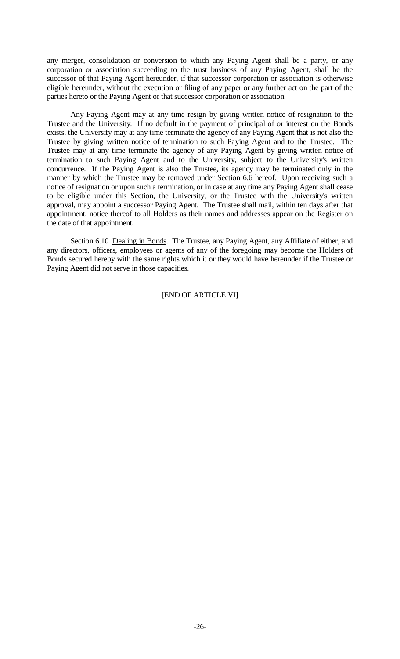any merger, consolidation or conversion to which any Paying Agent shall be a party, or any corporation or association succeeding to the trust business of any Paying Agent, shall be the successor of that Paying Agent hereunder, if that successor corporation or association is otherwise eligible hereunder, without the execution or filing of any paper or any further act on the part of the parties hereto or the Paying Agent or that successor corporation or association.

Any Paying Agent may at any time resign by giving written notice of resignation to the Trustee and the University. If no default in the payment of principal of or interest on the Bonds exists, the University may at any time terminate the agency of any Paying Agent that is not also the Trustee by giving written notice of termination to such Paying Agent and to the Trustee. The Trustee may at any time terminate the agency of any Paying Agent by giving written notice of termination to such Paying Agent and to the University, subject to the University's written concurrence. If the Paying Agent is also the Trustee, its agency may be terminated only in the manner by which the Trustee may be removed under Section 6.6 hereof. Upon receiving such a notice of resignation or upon such a termination, or in case at any time any Paying Agent shall cease to be eligible under this Section, the University, or the Trustee with the University's written approval, may appoint a successor Paying Agent. The Trustee shall mail, within ten days after that appointment, notice thereof to all Holders as their names and addresses appear on the Register on the date of that appointment.

Section 6.10 Dealing in Bonds. The Trustee, any Paying Agent, any Affiliate of either, and any directors, officers, employees or agents of any of the foregoing may become the Holders of Bonds secured hereby with the same rights which it or they would have hereunder if the Trustee or Paying Agent did not serve in those capacities.

# [END OF ARTICLE VI]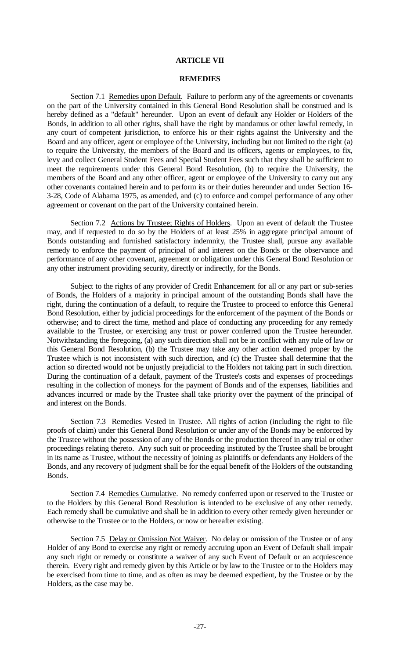#### **ARTICLE VII**

#### **REMEDIES**

Section 7.1 Remedies upon Default. Failure to perform any of the agreements or covenants on the part of the University contained in this General Bond Resolution shall be construed and is hereby defined as a "default" hereunder. Upon an event of default any Holder or Holders of the Bonds, in addition to all other rights, shall have the right by mandamus or other lawful remedy, in any court of competent jurisdiction, to enforce his or their rights against the University and the Board and any officer, agent or employee of the University, including but not limited to the right (a) to require the University, the members of the Board and its officers, agents or employees, to fix, levy and collect General Student Fees and Special Student Fees such that they shall be sufficient to meet the requirements under this General Bond Resolution, (b) to require the University, the members of the Board and any other officer, agent or employee of the University to carry out any other covenants contained herein and to perform its or their duties hereunder and under Section 16- 3-28, Code of Alabama 1975, as amended, and (c) to enforce and compel performance of any other agreement or covenant on the part of the University contained herein.

Section 7.2 Actions by Trustee; Rights of Holders. Upon an event of default the Trustee may, and if requested to do so by the Holders of at least 25% in aggregate principal amount of Bonds outstanding and furnished satisfactory indemnity, the Trustee shall, pursue any available remedy to enforce the payment of principal of and interest on the Bonds or the observance and performance of any other covenant, agreement or obligation under this General Bond Resolution or any other instrument providing security, directly or indirectly, for the Bonds.

Subject to the rights of any provider of Credit Enhancement for all or any part or sub-series of Bonds, the Holders of a majority in principal amount of the outstanding Bonds shall have the right, during the continuation of a default, to require the Trustee to proceed to enforce this General Bond Resolution, either by judicial proceedings for the enforcement of the payment of the Bonds or otherwise; and to direct the time, method and place of conducting any proceeding for any remedy available to the Trustee, or exercising any trust or power conferred upon the Trustee hereunder. Notwithstanding the foregoing, (a) any such direction shall not be in conflict with any rule of law or this General Bond Resolution, (b) the Trustee may take any other action deemed proper by the Trustee which is not inconsistent with such direction, and (c) the Trustee shall determine that the action so directed would not be unjustly prejudicial to the Holders not taking part in such direction. During the continuation of a default, payment of the Trustee's costs and expenses of proceedings resulting in the collection of moneys for the payment of Bonds and of the expenses, liabilities and advances incurred or made by the Trustee shall take priority over the payment of the principal of and interest on the Bonds.

Section 7.3 Remedies Vested in Trustee. All rights of action (including the right to file proofs of claim) under this General Bond Resolution or under any of the Bonds may be enforced by the Trustee without the possession of any of the Bonds or the production thereof in any trial or other proceedings relating thereto. Any such suit or proceeding instituted by the Trustee shall be brought in its name as Trustee, without the necessity of joining as plaintiffs or defendants any Holders of the Bonds, and any recovery of judgment shall be for the equal benefit of the Holders of the outstanding Bonds.

Section 7.4 Remedies Cumulative. No remedy conferred upon or reserved to the Trustee or to the Holders by this General Bond Resolution is intended to be exclusive of any other remedy. Each remedy shall be cumulative and shall be in addition to every other remedy given hereunder or otherwise to the Trustee or to the Holders, or now or hereafter existing.

Section 7.5 Delay or Omission Not Waiver. No delay or omission of the Trustee or of any Holder of any Bond to exercise any right or remedy accruing upon an Event of Default shall impair any such right or remedy or constitute a waiver of any such Event of Default or an acquiescence therein. Every right and remedy given by this Article or by law to the Trustee or to the Holders may be exercised from time to time, and as often as may be deemed expedient, by the Trustee or by the Holders, as the case may be.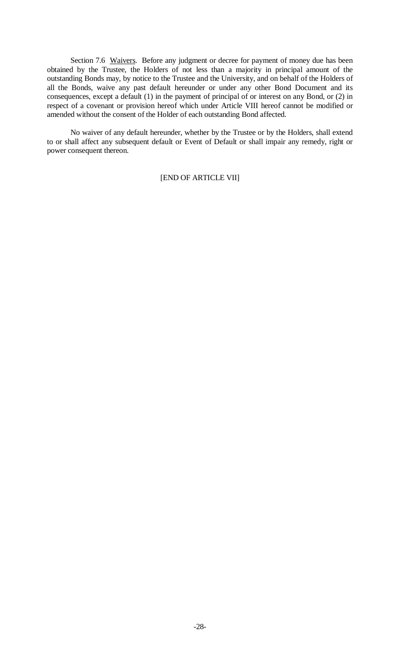Section 7.6 Waivers. Before any judgment or decree for payment of money due has been obtained by the Trustee, the Holders of not less than a majority in principal amount of the outstanding Bonds may, by notice to the Trustee and the University, and on behalf of the Holders of all the Bonds, waive any past default hereunder or under any other Bond Document and its consequences, except a default (1) in the payment of principal of or interest on any Bond, or (2) in respect of a covenant or provision hereof which under Article VIII hereof cannot be modified or amended without the consent of the Holder of each outstanding Bond affected.

No waiver of any default hereunder, whether by the Trustee or by the Holders, shall extend to or shall affect any subsequent default or Event of Default or shall impair any remedy, right or power consequent thereon.

[END OF ARTICLE VII]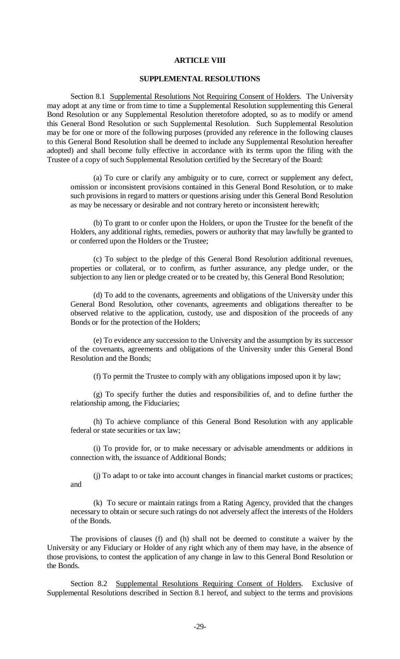## **ARTICLE VIII**

#### **SUPPLEMENTAL RESOLUTIONS**

Section 8.1 Supplemental Resolutions Not Requiring Consent of Holders. The University may adopt at any time or from time to time a Supplemental Resolution supplementing this General Bond Resolution or any Supplemental Resolution theretofore adopted, so as to modify or amend this General Bond Resolution or such Supplemental Resolution. Such Supplemental Resolution may be for one or more of the following purposes (provided any reference in the following clauses to this General Bond Resolution shall be deemed to include any Supplemental Resolution hereafter adopted) and shall become fully effective in accordance with its terms upon the filing with the Trustee of a copy of such Supplemental Resolution certified by the Secretary of the Board:

(a) To cure or clarify any ambiguity or to cure, correct or supplement any defect, omission or inconsistent provisions contained in this General Bond Resolution, or to make such provisions in regard to matters or questions arising under this General Bond Resolution as may be necessary or desirable and not contrary hereto or inconsistent herewith;

(b) To grant to or confer upon the Holders, or upon the Trustee for the benefit of the Holders, any additional rights, remedies, powers or authority that may lawfully be granted to or conferred upon the Holders or the Trustee;

(c) To subject to the pledge of this General Bond Resolution additional revenues, properties or collateral, or to confirm, as further assurance, any pledge under, or the subjection to any lien or pledge created or to be created by, this General Bond Resolution;

(d) To add to the covenants, agreements and obligations of the University under this General Bond Resolution, other covenants, agreements and obligations thereafter to be observed relative to the application, custody, use and disposition of the proceeds of any Bonds or for the protection of the Holders;

(e) To evidence any succession to the University and the assumption by its successor of the covenants, agreements and obligations of the University under this General Bond Resolution and the Bonds;

(f) To permit the Trustee to comply with any obligations imposed upon it by law;

(g) To specify further the duties and responsibilities of, and to define further the relationship among, the Fiduciaries;

(h) To achieve compliance of this General Bond Resolution with any applicable federal or state securities or tax law;

(i) To provide for, or to make necessary or advisable amendments or additions in connection with, the issuance of Additional Bonds;

(j) To adapt to or take into account changes in financial market customs or practices; and

(k) To secure or maintain ratings from a Rating Agency, provided that the changes necessary to obtain or secure such ratings do not adversely affect the interests of the Holders of the Bonds.

The provisions of clauses (f) and (h) shall not be deemed to constitute a waiver by the University or any Fiduciary or Holder of any right which any of them may have, in the absence of those provisions, to contest the application of any change in law to this General Bond Resolution or the Bonds.

Section 8.2 Supplemental Resolutions Requiring Consent of Holders. Exclusive of Supplemental Resolutions described in Section 8.1 hereof, and subject to the terms and provisions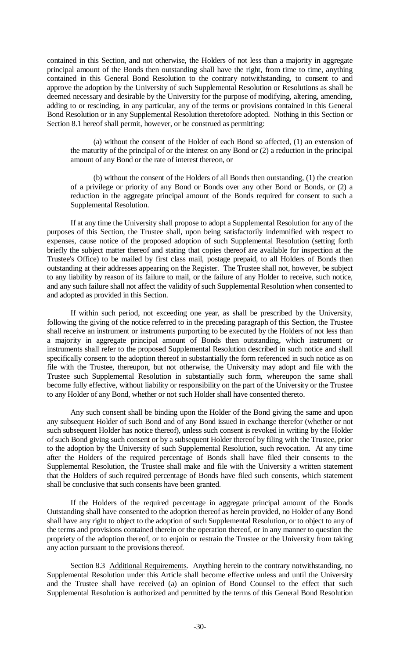contained in this Section, and not otherwise, the Holders of not less than a majority in aggregate principal amount of the Bonds then outstanding shall have the right, from time to time, anything contained in this General Bond Resolution to the contrary notwithstanding, to consent to and approve the adoption by the University of such Supplemental Resolution or Resolutions as shall be deemed necessary and desirable by the University for the purpose of modifying, altering, amending, adding to or rescinding, in any particular, any of the terms or provisions contained in this General Bond Resolution or in any Supplemental Resolution theretofore adopted. Nothing in this Section or Section 8.1 hereof shall permit, however, or be construed as permitting:

(a) without the consent of the Holder of each Bond so affected, (1) an extension of the maturity of the principal of or the interest on any Bond or (2) a reduction in the principal amount of any Bond or the rate of interest thereon, or

(b) without the consent of the Holders of all Bonds then outstanding, (1) the creation of a privilege or priority of any Bond or Bonds over any other Bond or Bonds, or (2) a reduction in the aggregate principal amount of the Bonds required for consent to such a Supplemental Resolution.

If at any time the University shall propose to adopt a Supplemental Resolution for any of the purposes of this Section, the Trustee shall, upon being satisfactorily indemnified with respect to expenses, cause notice of the proposed adoption of such Supplemental Resolution (setting forth briefly the subject matter thereof and stating that copies thereof are available for inspection at the Trustee's Office) to be mailed by first class mail, postage prepaid, to all Holders of Bonds then outstanding at their addresses appearing on the Register. The Trustee shall not, however, be subject to any liability by reason of its failure to mail, or the failure of any Holder to receive, such notice, and any such failure shall not affect the validity of such Supplemental Resolution when consented to and adopted as provided in this Section.

If within such period, not exceeding one year, as shall be prescribed by the University, following the giving of the notice referred to in the preceding paragraph of this Section, the Trustee shall receive an instrument or instruments purporting to be executed by the Holders of not less than a majority in aggregate principal amount of Bonds then outstanding, which instrument or instruments shall refer to the proposed Supplemental Resolution described in such notice and shall specifically consent to the adoption thereof in substantially the form referenced in such notice as on file with the Trustee, thereupon, but not otherwise, the University may adopt and file with the Trustee such Supplemental Resolution in substantially such form, whereupon the same shall become fully effective, without liability or responsibility on the part of the University or the Trustee to any Holder of any Bond, whether or not such Holder shall have consented thereto.

Any such consent shall be binding upon the Holder of the Bond giving the same and upon any subsequent Holder of such Bond and of any Bond issued in exchange therefor (whether or not such subsequent Holder has notice thereof), unless such consent is revoked in writing by the Holder of such Bond giving such consent or by a subsequent Holder thereof by filing with the Trustee, prior to the adoption by the University of such Supplemental Resolution, such revocation. At any time after the Holders of the required percentage of Bonds shall have filed their consents to the Supplemental Resolution, the Trustee shall make and file with the University a written statement that the Holders of such required percentage of Bonds have filed such consents, which statement shall be conclusive that such consents have been granted.

If the Holders of the required percentage in aggregate principal amount of the Bonds Outstanding shall have consented to the adoption thereof as herein provided, no Holder of any Bond shall have any right to object to the adoption of such Supplemental Resolution, or to object to any of the terms and provisions contained therein or the operation thereof, or in any manner to question the propriety of the adoption thereof, or to enjoin or restrain the Trustee or the University from taking any action pursuant to the provisions thereof.

Section 8.3 Additional Requirements. Anything herein to the contrary notwithstanding, no Supplemental Resolution under this Article shall become effective unless and until the University and the Trustee shall have received (a) an opinion of Bond Counsel to the effect that such Supplemental Resolution is authorized and permitted by the terms of this General Bond Resolution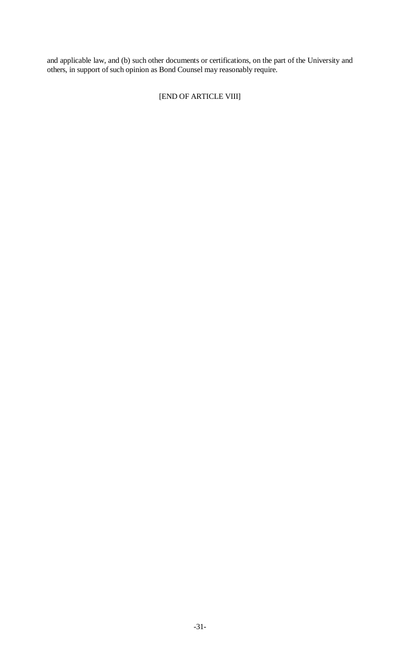and applicable law, and (b) such other documents or certifications, on the part of the University and others, in support of such opinion as Bond Counsel may reasonably require.

[END OF ARTICLE VIII]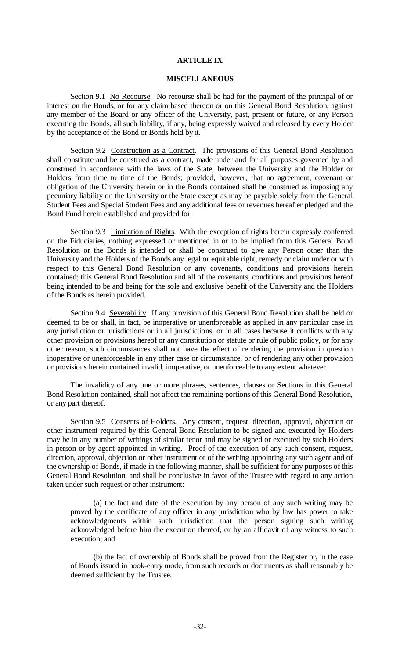# **ARTICLE IX**

#### **MISCELLANEOUS**

Section 9.1 No Recourse. No recourse shall be had for the payment of the principal of or interest on the Bonds, or for any claim based thereon or on this General Bond Resolution, against any member of the Board or any officer of the University, past, present or future, or any Person executing the Bonds, all such liability, if any, being expressly waived and released by every Holder by the acceptance of the Bond or Bonds held by it.

Section 9.2 Construction as a Contract. The provisions of this General Bond Resolution shall constitute and be construed as a contract, made under and for all purposes governed by and construed in accordance with the laws of the State, between the University and the Holder or Holders from time to time of the Bonds; provided, however, that no agreement, covenant or obligation of the University herein or in the Bonds contained shall be construed as imposing any pecuniary liability on the University or the State except as may be payable solely from the General Student Fees and Special Student Fees and any additional fees or revenues hereafter pledged and the Bond Fund herein established and provided for.

Section 9.3 Limitation of Rights. With the exception of rights herein expressly conferred on the Fiduciaries, nothing expressed or mentioned in or to be implied from this General Bond Resolution or the Bonds is intended or shall be construed to give any Person other than the University and the Holders of the Bonds any legal or equitable right, remedy or claim under or with respect to this General Bond Resolution or any covenants, conditions and provisions herein contained; this General Bond Resolution and all of the covenants, conditions and provisions hereof being intended to be and being for the sole and exclusive benefit of the University and the Holders of the Bonds as herein provided.

Section 9.4 Severability. If any provision of this General Bond Resolution shall be held or deemed to be or shall, in fact, be inoperative or unenforceable as applied in any particular case in any jurisdiction or jurisdictions or in all jurisdictions, or in all cases because it conflicts with any other provision or provisions hereof or any constitution or statute or rule of public policy, or for any other reason, such circumstances shall not have the effect of rendering the provision in question inoperative or unenforceable in any other case or circumstance, or of rendering any other provision or provisions herein contained invalid, inoperative, or unenforceable to any extent whatever.

The invalidity of any one or more phrases, sentences, clauses or Sections in this General Bond Resolution contained, shall not affect the remaining portions of this General Bond Resolution, or any part thereof.

Section 9.5 Consents of Holders. Any consent, request, direction, approval, objection or other instrument required by this General Bond Resolution to be signed and executed by Holders may be in any number of writings of similar tenor and may be signed or executed by such Holders in person or by agent appointed in writing. Proof of the execution of any such consent, request, direction, approval, objection or other instrument or of the writing appointing any such agent and of the ownership of Bonds, if made in the following manner, shall be sufficient for any purposes of this General Bond Resolution, and shall be conclusive in favor of the Trustee with regard to any action taken under such request or other instrument:

(a) the fact and date of the execution by any person of any such writing may be proved by the certificate of any officer in any jurisdiction who by law has power to take acknowledgments within such jurisdiction that the person signing such writing acknowledged before him the execution thereof, or by an affidavit of any witness to such execution; and

(b) the fact of ownership of Bonds shall be proved from the Register or, in the case of Bonds issued in book-entry mode, from such records or documents as shall reasonably be deemed sufficient by the Trustee.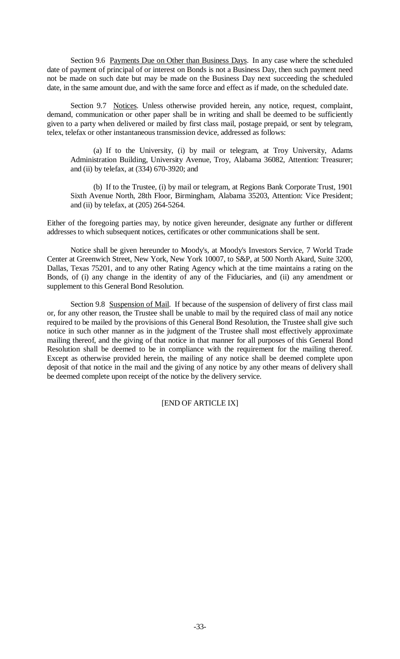Section 9.6 Payments Due on Other than Business Days. In any case where the scheduled date of payment of principal of or interest on Bonds is not a Business Day, then such payment need not be made on such date but may be made on the Business Day next succeeding the scheduled date, in the same amount due, and with the same force and effect as if made, on the scheduled date.

Section 9.7 Notices. Unless otherwise provided herein, any notice, request, complaint, demand, communication or other paper shall be in writing and shall be deemed to be sufficiently given to a party when delivered or mailed by first class mail, postage prepaid, or sent by telegram, telex, telefax or other instantaneous transmission device, addressed as follows:

(a) If to the University, (i) by mail or telegram, at Troy University, Adams Administration Building, University Avenue, Troy, Alabama 36082, Attention: Treasurer; and (ii) by telefax, at (334) 670-3920; and

(b) If to the Trustee, (i) by mail or telegram, at Regions Bank Corporate Trust, 1901 Sixth Avenue North, 28th Floor, Birmingham, Alabama 35203, Attention: Vice President; and (ii) by telefax, at (205) 264-5264.

Either of the foregoing parties may, by notice given hereunder, designate any further or different addresses to which subsequent notices, certificates or other communications shall be sent.

Notice shall be given hereunder to Moody's, at Moody's Investors Service, 7 World Trade Center at Greenwich Street, New York, New York 10007, to S&P, at 500 North Akard, Suite 3200, Dallas, Texas 75201, and to any other Rating Agency which at the time maintains a rating on the Bonds, of (i) any change in the identity of any of the Fiduciaries, and (ii) any amendment or supplement to this General Bond Resolution.

Section 9.8 Suspension of Mail. If because of the suspension of delivery of first class mail or, for any other reason, the Trustee shall be unable to mail by the required class of mail any notice required to be mailed by the provisions of this General Bond Resolution, the Trustee shall give such notice in such other manner as in the judgment of the Trustee shall most effectively approximate mailing thereof, and the giving of that notice in that manner for all purposes of this General Bond Resolution shall be deemed to be in compliance with the requirement for the mailing thereof. Except as otherwise provided herein, the mailing of any notice shall be deemed complete upon deposit of that notice in the mail and the giving of any notice by any other means of delivery shall be deemed complete upon receipt of the notice by the delivery service.

# [END OF ARTICLE IX]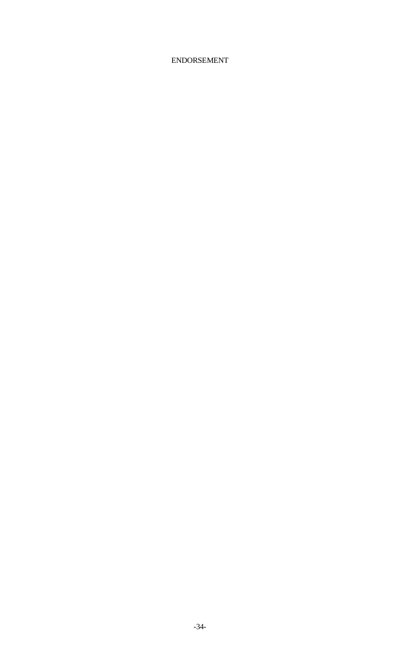# ENDORSEMENT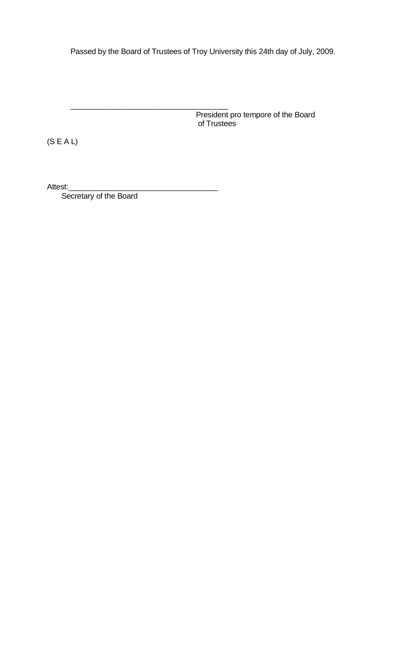Passed by the Board of Trustees of Troy University this 24th day of July, 2009.

\_\_\_\_\_\_\_\_\_\_\_\_\_\_\_\_\_\_\_\_\_\_\_\_\_\_\_\_\_\_\_\_\_\_\_\_\_ President pro tempore of the Board of Trustees

(S E A L)

Attest:\_\_\_

Secretary of the Board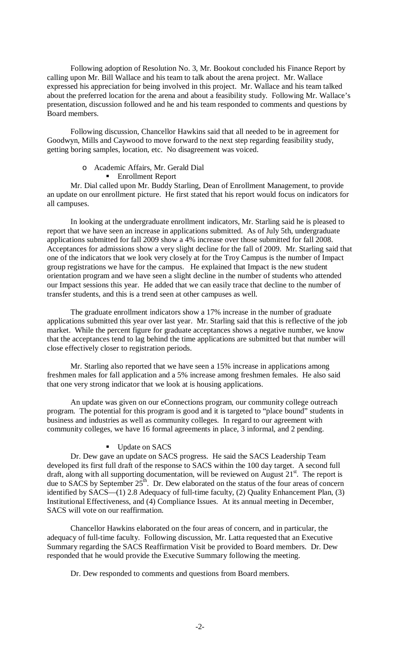Following adoption of Resolution No. 3, Mr. Bookout concluded his Finance Report by calling upon Mr. Bill Wallace and his team to talk about the arena project. Mr. Wallace expressed his appreciation for being involved in this project. Mr. Wallace and his team talked about the preferred location for the arena and about a feasibility study. Following Mr. Wallace's presentation, discussion followed and he and his team responded to comments and questions by Board members.

Following discussion, Chancellor Hawkins said that all needed to be in agreement for Goodwyn, Mills and Caywood to move forward to the next step regarding feasibility study, getting boring samples, location, etc. No disagreement was voiced.

> o Academic Affairs, Mr. Gerald Dial **Enrollment Report**

Mr. Dial called upon Mr. Buddy Starling, Dean of Enrollment Management, to provide an update on our enrollment picture. He first stated that his report would focus on indicators for all campuses.

In looking at the undergraduate enrollment indicators, Mr. Starling said he is pleased to report that we have seen an increase in applications submitted. As of July 5th, undergraduate applications submitted for fall 2009 show a 4% increase over those submitted for fall 2008. Acceptances for admissions show a very slight decline for the fall of 2009. Mr. Starling said that one of the indicators that we look very closely at for the Troy Campus is the number of Impact group registrations we have for the campus. He explained that Impact is the new student orientation program and we have seen a slight decline in the number of students who attended our Impact sessions this year. He added that we can easily trace that decline to the number of transfer students, and this is a trend seen at other campuses as well.

The graduate enrollment indicators show a 17% increase in the number of graduate applications submitted this year over last year. Mr. Starling said that this is reflective of the job market. While the percent figure for graduate acceptances shows a negative number, we know that the acceptances tend to lag behind the time applications are submitted but that number will close effectively closer to registration periods.

Mr. Starling also reported that we have seen a 15% increase in applications among freshmen males for fall application and a 5% increase among freshmen females. He also said that one very strong indicator that we look at is housing applications.

An update was given on our eConnections program, our community college outreach program. The potential for this program is good and it is targeted to "place bound" students in business and industries as well as community colleges. In regard to our agreement with community colleges, we have 16 formal agreements in place, 3 informal, and 2 pending.

#### Update on SACS

Dr. Dew gave an update on SACS progress. He said the SACS Leadership Team developed its first full draft of the response to SACS within the 100 day target. A second full draft, along with all supporting documentation, will be reviewed on August  $21<sup>st</sup>$ . The report is due to SACS by September 25<sup>th</sup>. Dr. Dew elaborated on the status of the four areas of concern identified by SACS—(1) 2.8 Adequacy of full-time faculty, (2) Quality Enhancement Plan, (3) Institutional Effectiveness, and (4) Compliance Issues. At its annual meeting in December, SACS will vote on our reaffirmation.

Chancellor Hawkins elaborated on the four areas of concern, and in particular, the adequacy of full-time faculty. Following discussion, Mr. Latta requested that an Executive Summary regarding the SACS Reaffirmation Visit be provided to Board members. Dr. Dew responded that he would provide the Executive Summary following the meeting.

Dr. Dew responded to comments and questions from Board members.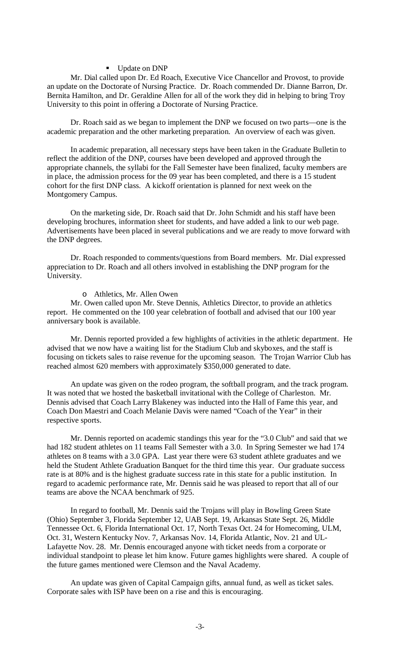#### Update on DNP

Mr. Dial called upon Dr. Ed Roach, Executive Vice Chancellor and Provost, to provide an update on the Doctorate of Nursing Practice. Dr. Roach commended Dr. Dianne Barron, Dr. Bernita Hamilton, and Dr. Geraldine Allen for all of the work they did in helping to bring Troy University to this point in offering a Doctorate of Nursing Practice.

Dr. Roach said as we began to implement the DNP we focused on two parts—one is the academic preparation and the other marketing preparation. An overview of each was given.

In academic preparation, all necessary steps have been taken in the Graduate Bulletin to reflect the addition of the DNP, courses have been developed and approved through the appropriate channels, the syllabi for the Fall Semester have been finalized, faculty members are in place, the admission process for the 09 year has been completed, and there is a 15 student cohort for the first DNP class. A kickoff orientation is planned for next week on the Montgomery Campus.

On the marketing side, Dr. Roach said that Dr. John Schmidt and his staff have been developing brochures, information sheet for students, and have added a link to our web page. Advertisements have been placed in several publications and we are ready to move forward with the DNP degrees.

Dr. Roach responded to comments/questions from Board members. Mr. Dial expressed appreciation to Dr. Roach and all others involved in establishing the DNP program for the University.

o Athletics, Mr. Allen Owen

Mr. Owen called upon Mr. Steve Dennis, Athletics Director, to provide an athletics report. He commented on the 100 year celebration of football and advised that our 100 year anniversary book is available.

Mr. Dennis reported provided a few highlights of activities in the athletic department. He advised that we now have a waiting list for the Stadium Club and skyboxes, and the staff is focusing on tickets sales to raise revenue for the upcoming season. The Trojan Warrior Club has reached almost 620 members with approximately \$350,000 generated to date.

An update was given on the rodeo program, the softball program, and the track program. It was noted that we hosted the basketball invitational with the College of Charleston. Mr. Dennis advised that Coach Larry Blakeney was inducted into the Hall of Fame this year, and Coach Don Maestri and Coach Melanie Davis were named "Coach of the Year" in their respective sports.

Mr. Dennis reported on academic standings this year for the "3.0 Club" and said that we had 182 student athletes on 11 teams Fall Semester with a 3.0. In Spring Semester we had 174 athletes on 8 teams with a 3.0 GPA. Last year there were 63 student athlete graduates and we held the Student Athlete Graduation Banquet for the third time this year. Our graduate success rate is at 80% and is the highest graduate success rate in this state for a public institution. In regard to academic performance rate, Mr. Dennis said he was pleased to report that all of our teams are above the NCAA benchmark of 925.

In regard to football, Mr. Dennis said the Trojans will play in Bowling Green State (Ohio) September 3, Florida September 12, UAB Sept. 19, Arkansas State Sept. 26, Middle Tennessee Oct. 6, Florida International Oct. 17, North Texas Oct. 24 for Homecoming, ULM, Oct. 31, Western Kentucky Nov. 7, Arkansas Nov. 14, Florida Atlantic, Nov. 21 and UL-Lafayette Nov. 28. Mr. Dennis encouraged anyone with ticket needs from a corporate or individual standpoint to please let him know. Future games highlights were shared. A couple of the future games mentioned were Clemson and the Naval Academy.

An update was given of Capital Campaign gifts, annual fund, as well as ticket sales. Corporate sales with ISP have been on a rise and this is encouraging.